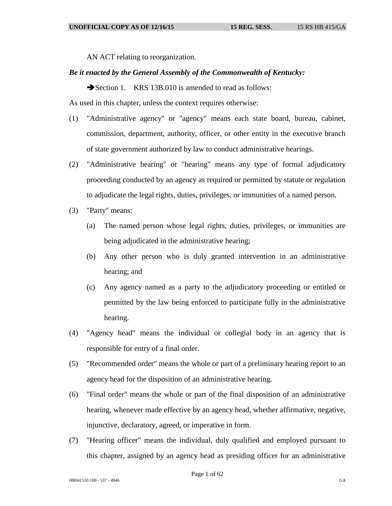AN ACT relating to reorganization.

## *Be it enacted by the General Assembly of the Commonwealth of Kentucky:*

Section 1. KRS 13B.010 is amended to read as follows:

As used in this chapter, unless the context requires otherwise:

- (1) "Administrative agency" or "agency" means each state board, bureau, cabinet, commission, department, authority, officer, or other entity in the executive branch of state government authorized by law to conduct administrative hearings.
- (2) "Administrative hearing" or "hearing" means any type of formal adjudicatory proceeding conducted by an agency as required or permitted by statute or regulation to adjudicate the legal rights, duties, privileges, or immunities of a named person.
- (3) "Party" means:
	- (a) The named person whose legal rights, duties, privileges, or immunities are being adjudicated in the administrative hearing;
	- (b) Any other person who is duly granted intervention in an administrative hearing; and
	- (c) Any agency named as a party to the adjudicatory proceeding or entitled or permitted by the law being enforced to participate fully in the administrative hearing.
- (4) "Agency head" means the individual or collegial body in an agency that is responsible for entry of a final order.
- (5) "Recommended order" means the whole or part of a preliminary hearing report to an agency head for the disposition of an administrative hearing.
- (6) "Final order" means the whole or part of the final disposition of an administrative hearing, whenever made effective by an agency head, whether affirmative, negative, injunctive, declaratory, agreed, or imperative in form.
- (7) "Hearing officer" means the individual, duly qualified and employed pursuant to this chapter, assigned by an agency head as presiding officer for an administrative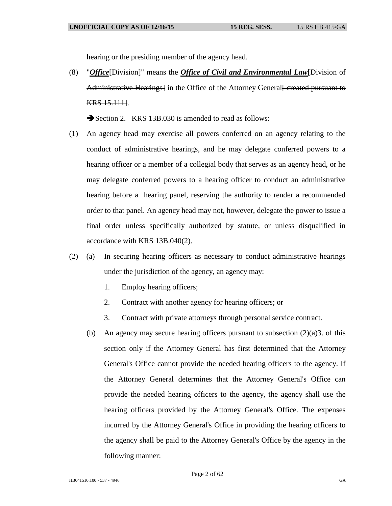hearing or the presiding member of the agency head.

(8) "*Office*[Division]" means the *Office of Civil and Environmental Law*[Division of Administrative Hearings] in the Office of the Attorney General Fereated pursuant to KRS 15.111].

Section 2. KRS 13B.030 is amended to read as follows:

- (1) An agency head may exercise all powers conferred on an agency relating to the conduct of administrative hearings, and he may delegate conferred powers to a hearing officer or a member of a collegial body that serves as an agency head, or he may delegate conferred powers to a hearing officer to conduct an administrative hearing before a hearing panel, reserving the authority to render a recommended order to that panel. An agency head may not, however, delegate the power to issue a final order unless specifically authorized by statute, or unless disqualified in accordance with KRS 13B.040(2).
- (2) (a) In securing hearing officers as necessary to conduct administrative hearings under the jurisdiction of the agency, an agency may:
	- 1. Employ hearing officers;
	- 2. Contract with another agency for hearing officers; or
	- 3. Contract with private attorneys through personal service contract.
	- (b) An agency may secure hearing officers pursuant to subsection  $(2)(a)3$ . of this section only if the Attorney General has first determined that the Attorney General's Office cannot provide the needed hearing officers to the agency. If the Attorney General determines that the Attorney General's Office can provide the needed hearing officers to the agency, the agency shall use the hearing officers provided by the Attorney General's Office. The expenses incurred by the Attorney General's Office in providing the hearing officers to the agency shall be paid to the Attorney General's Office by the agency in the following manner: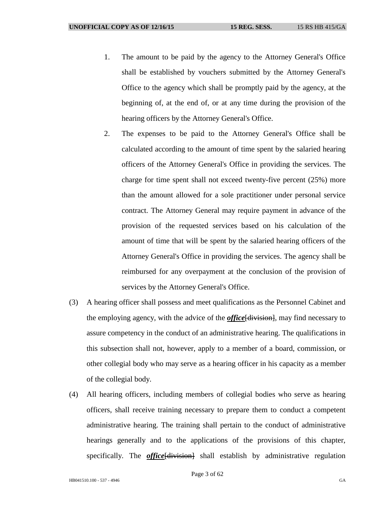- 1. The amount to be paid by the agency to the Attorney General's Office shall be established by vouchers submitted by the Attorney General's Office to the agency which shall be promptly paid by the agency, at the beginning of, at the end of, or at any time during the provision of the hearing officers by the Attorney General's Office.
- 2. The expenses to be paid to the Attorney General's Office shall be calculated according to the amount of time spent by the salaried hearing officers of the Attorney General's Office in providing the services. The charge for time spent shall not exceed twenty-five percent (25%) more than the amount allowed for a sole practitioner under personal service contract. The Attorney General may require payment in advance of the provision of the requested services based on his calculation of the amount of time that will be spent by the salaried hearing officers of the Attorney General's Office in providing the services. The agency shall be reimbursed for any overpayment at the conclusion of the provision of services by the Attorney General's Office.
- (3) A hearing officer shall possess and meet qualifications as the Personnel Cabinet and the employing agency, with the advice of the *office*[division], may find necessary to assure competency in the conduct of an administrative hearing. The qualifications in this subsection shall not, however, apply to a member of a board, commission, or other collegial body who may serve as a hearing officer in his capacity as a member of the collegial body.
- (4) All hearing officers, including members of collegial bodies who serve as hearing officers, shall receive training necessary to prepare them to conduct a competent administrative hearing. The training shall pertain to the conduct of administrative hearings generally and to the applications of the provisions of this chapter, specifically. The *office*[division] shall establish by administrative regulation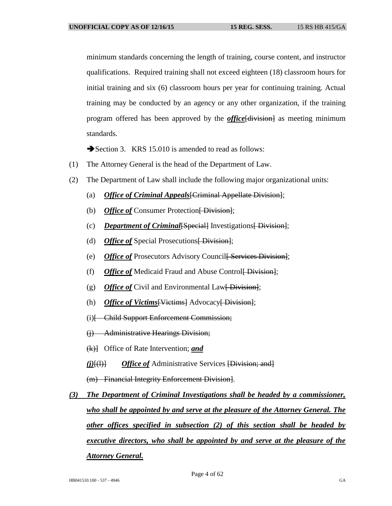minimum standards concerning the length of training, course content, and instructor qualifications. Required training shall not exceed eighteen (18) classroom hours for initial training and six (6) classroom hours per year for continuing training. Actual training may be conducted by an agency or any other organization, if the training program offered has been approved by the *office*[division] as meeting minimum standards.

Section 3. KRS 15.010 is amended to read as follows:

- (1) The Attorney General is the head of the Department of Law.
- (2) The Department of Law shall include the following major organizational units:
	- (a) *Office of Criminal Appeals*[Criminal Appellate Division];
	- (b) Office of Consumer Protection [Division];
	- (c) *Department of Criminal*[Special] Investigations [Division];
	- (d) Office of Special Prosecutions<del>[Division]</del>;
	- (e) Office of Prosecutors Advisory Council Fervices Division];
	- (f) Office of Medicaid Fraud and Abuse Control<del>[Division]</del>;
	- (g) *Office of* Civil and Environmental Law<del>[ Division]</del>;
	- (h) *Office of Victims* [Victims] Advocacy [Division];
	- (i)[ Child Support Enforcement Commission;
	- (j) Administrative Hearings Division;
	- (k)] Office of Rate Intervention; *and*
	- *(i)*[(1)] *Office of* Administrative Services [Division; and]

(m) Financial Integrity Enforcement Division].

*(3) The Department of Criminal Investigations shall be headed by a commissioner, who shall be appointed by and serve at the pleasure of the Attorney General. The other offices specified in subsection (2) of this section shall be headed by executive directors, who shall be appointed by and serve at the pleasure of the Attorney General.*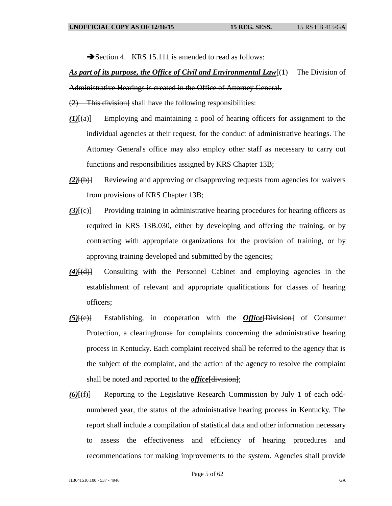Section 4. KRS 15.111 is amended to read as follows:

## *As part of its purpose, the Office of Civil and Environmental Law*[(1) The Division of Administrative Hearings is created in the Office of Attorney General.

(2) This division] shall have the following responsibilities:

- *(1)*[(a)] Employing and maintaining a pool of hearing officers for assignment to the individual agencies at their request, for the conduct of administrative hearings. The Attorney General's office may also employ other staff as necessary to carry out functions and responsibilities assigned by KRS Chapter 13B;
- *(2)*[(b)] Reviewing and approving or disapproving requests from agencies for waivers from provisions of KRS Chapter 13B;
- (3)<sup>[(c)]</sup> Providing training in administrative hearing procedures for hearing officers as required in KRS 13B.030, either by developing and offering the training, or by contracting with appropriate organizations for the provision of training, or by approving training developed and submitted by the agencies;
- *(4)*[(d)] Consulting with the Personnel Cabinet and employing agencies in the establishment of relevant and appropriate qualifications for classes of hearing officers;
- *(5)*[(e)] Establishing, in cooperation with the *Office*[Division] of Consumer Protection, a clearinghouse for complaints concerning the administrative hearing process in Kentucky. Each complaint received shall be referred to the agency that is the subject of the complaint, and the action of the agency to resolve the complaint shall be noted and reported to the *office* [division];
- *(6)*[(f)] Reporting to the Legislative Research Commission by July 1 of each oddnumbered year, the status of the administrative hearing process in Kentucky. The report shall include a compilation of statistical data and other information necessary to assess the effectiveness and efficiency of hearing procedures and recommendations for making improvements to the system. Agencies shall provide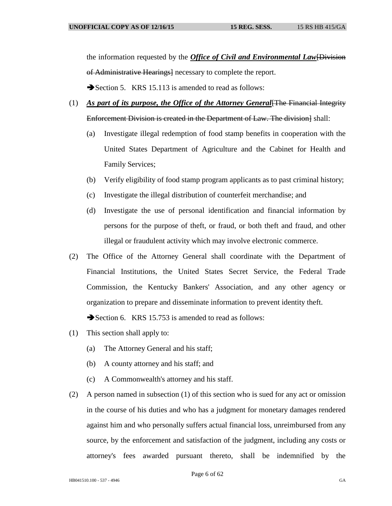the information requested by the *Office of Civil and Environmental Law*[Division of Administrative Hearings] necessary to complete the report.

Section 5. KRS 15.113 is amended to read as follows:

- (1) *As part of its purpose, the Office of the Attorney General*[The Financial Integrity Enforcement Division is created in the Department of Law. The division] shall:
	- (a) Investigate illegal redemption of food stamp benefits in cooperation with the United States Department of Agriculture and the Cabinet for Health and Family Services;
	- (b) Verify eligibility of food stamp program applicants as to past criminal history;
	- (c) Investigate the illegal distribution of counterfeit merchandise; and
	- (d) Investigate the use of personal identification and financial information by persons for the purpose of theft, or fraud, or both theft and fraud, and other illegal or fraudulent activity which may involve electronic commerce.
- (2) The Office of the Attorney General shall coordinate with the Department of Financial Institutions, the United States Secret Service, the Federal Trade Commission, the Kentucky Bankers' Association, and any other agency or organization to prepare and disseminate information to prevent identity theft. Section 6. KRS 15.753 is amended to read as follows:
- (1) This section shall apply to:
	- (a) The Attorney General and his staff;
	- (b) A county attorney and his staff; and
	- (c) A Commonwealth's attorney and his staff.
- (2) A person named in subsection (1) of this section who is sued for any act or omission in the course of his duties and who has a judgment for monetary damages rendered against him and who personally suffers actual financial loss, unreimbursed from any source, by the enforcement and satisfaction of the judgment, including any costs or attorney's fees awarded pursuant thereto, shall be indemnified by the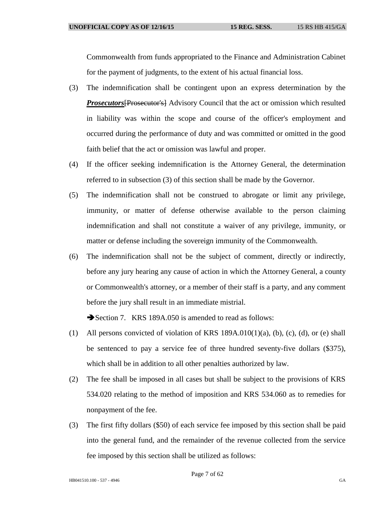Commonwealth from funds appropriated to the Finance and Administration Cabinet for the payment of judgments, to the extent of his actual financial loss.

- (3) The indemnification shall be contingent upon an express determination by the *Prosecutors*[Prosecutor's] Advisory Council that the act or omission which resulted in liability was within the scope and course of the officer's employment and occurred during the performance of duty and was committed or omitted in the good faith belief that the act or omission was lawful and proper.
- (4) If the officer seeking indemnification is the Attorney General, the determination referred to in subsection (3) of this section shall be made by the Governor.
- (5) The indemnification shall not be construed to abrogate or limit any privilege, immunity, or matter of defense otherwise available to the person claiming indemnification and shall not constitute a waiver of any privilege, immunity, or matter or defense including the sovereign immunity of the Commonwealth.
- (6) The indemnification shall not be the subject of comment, directly or indirectly, before any jury hearing any cause of action in which the Attorney General, a county or Commonwealth's attorney, or a member of their staff is a party, and any comment before the jury shall result in an immediate mistrial.

Section 7. KRS 189A.050 is amended to read as follows:

- (1) All persons convicted of violation of KRS  $189A.010(1)(a)$ , (b), (c), (d), or (e) shall be sentenced to pay a service fee of three hundred seventy-five dollars (\$375), which shall be in addition to all other penalties authorized by law.
- (2) The fee shall be imposed in all cases but shall be subject to the provisions of KRS 534.020 relating to the method of imposition and KRS 534.060 as to remedies for nonpayment of the fee.
- (3) The first fifty dollars (\$50) of each service fee imposed by this section shall be paid into the general fund, and the remainder of the revenue collected from the service fee imposed by this section shall be utilized as follows: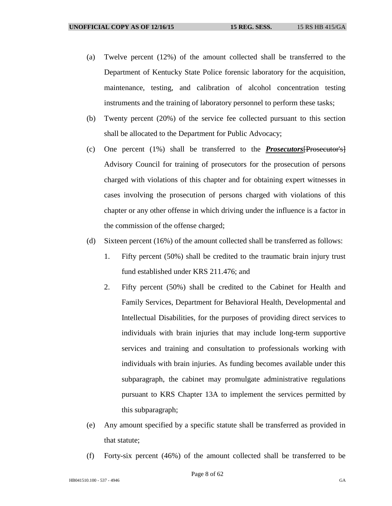- (a) Twelve percent (12%) of the amount collected shall be transferred to the Department of Kentucky State Police forensic laboratory for the acquisition, maintenance, testing, and calibration of alcohol concentration testing instruments and the training of laboratory personnel to perform these tasks;
- (b) Twenty percent (20%) of the service fee collected pursuant to this section shall be allocated to the Department for Public Advocacy;
- (c) One percent (1%) shall be transferred to the *Prosecutors*[Prosecutor's] Advisory Council for training of prosecutors for the prosecution of persons charged with violations of this chapter and for obtaining expert witnesses in cases involving the prosecution of persons charged with violations of this chapter or any other offense in which driving under the influence is a factor in the commission of the offense charged;
- (d) Sixteen percent (16%) of the amount collected shall be transferred as follows:
	- 1. Fifty percent (50%) shall be credited to the traumatic brain injury trust fund established under KRS 211.476; and
	- 2. Fifty percent (50%) shall be credited to the Cabinet for Health and Family Services, Department for Behavioral Health, Developmental and Intellectual Disabilities, for the purposes of providing direct services to individuals with brain injuries that may include long-term supportive services and training and consultation to professionals working with individuals with brain injuries. As funding becomes available under this subparagraph, the cabinet may promulgate administrative regulations pursuant to KRS Chapter 13A to implement the services permitted by this subparagraph;
- (e) Any amount specified by a specific statute shall be transferred as provided in that statute;
- (f) Forty-six percent (46%) of the amount collected shall be transferred to be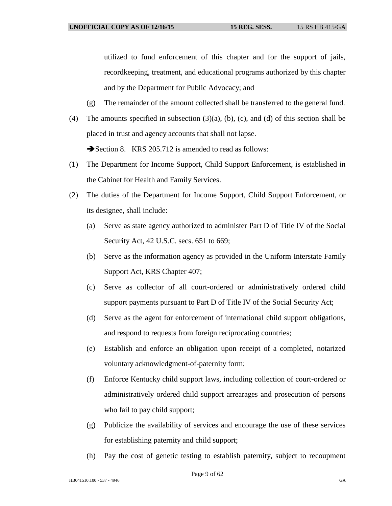utilized to fund enforcement of this chapter and for the support of jails, recordkeeping, treatment, and educational programs authorized by this chapter and by the Department for Public Advocacy; and

- (g) The remainder of the amount collected shall be transferred to the general fund.
- (4) The amounts specified in subsection  $(3)(a)$ ,  $(b)$ ,  $(c)$ , and  $(d)$  of this section shall be placed in trust and agency accounts that shall not lapse. Section 8. KRS 205.712 is amended to read as follows:
- (1) The Department for Income Support, Child Support Enforcement, is established in the Cabinet for Health and Family Services.
- (2) The duties of the Department for Income Support, Child Support Enforcement, or its designee, shall include:
	- (a) Serve as state agency authorized to administer Part D of Title IV of the Social Security Act, 42 U.S.C. secs. 651 to 669;
	- (b) Serve as the information agency as provided in the Uniform Interstate Family Support Act, KRS Chapter 407;
	- (c) Serve as collector of all court-ordered or administratively ordered child support payments pursuant to Part D of Title IV of the Social Security Act;
	- (d) Serve as the agent for enforcement of international child support obligations, and respond to requests from foreign reciprocating countries;
	- (e) Establish and enforce an obligation upon receipt of a completed, notarized voluntary acknowledgment-of-paternity form;
	- (f) Enforce Kentucky child support laws, including collection of court-ordered or administratively ordered child support arrearages and prosecution of persons who fail to pay child support;
	- (g) Publicize the availability of services and encourage the use of these services for establishing paternity and child support;
	- (h) Pay the cost of genetic testing to establish paternity, subject to recoupment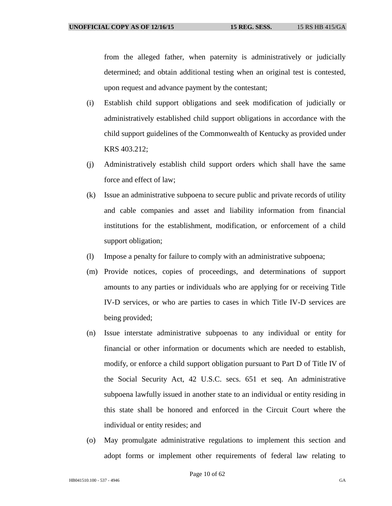from the alleged father, when paternity is administratively or judicially determined; and obtain additional testing when an original test is contested, upon request and advance payment by the contestant;

- (i) Establish child support obligations and seek modification of judicially or administratively established child support obligations in accordance with the child support guidelines of the Commonwealth of Kentucky as provided under KRS 403.212;
- (j) Administratively establish child support orders which shall have the same force and effect of law;
- (k) Issue an administrative subpoena to secure public and private records of utility and cable companies and asset and liability information from financial institutions for the establishment, modification, or enforcement of a child support obligation;
- (l) Impose a penalty for failure to comply with an administrative subpoena;
- (m) Provide notices, copies of proceedings, and determinations of support amounts to any parties or individuals who are applying for or receiving Title IV-D services, or who are parties to cases in which Title IV-D services are being provided;
- (n) Issue interstate administrative subpoenas to any individual or entity for financial or other information or documents which are needed to establish, modify, or enforce a child support obligation pursuant to Part D of Title IV of the Social Security Act, 42 U.S.C. secs. 651 et seq. An administrative subpoena lawfully issued in another state to an individual or entity residing in this state shall be honored and enforced in the Circuit Court where the individual or entity resides; and
- (o) May promulgate administrative regulations to implement this section and adopt forms or implement other requirements of federal law relating to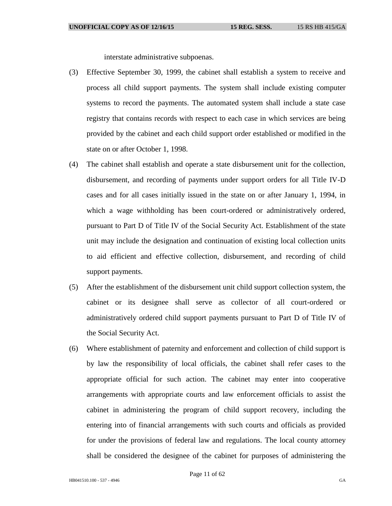interstate administrative subpoenas.

- (3) Effective September 30, 1999, the cabinet shall establish a system to receive and process all child support payments. The system shall include existing computer systems to record the payments. The automated system shall include a state case registry that contains records with respect to each case in which services are being provided by the cabinet and each child support order established or modified in the state on or after October 1, 1998.
- (4) The cabinet shall establish and operate a state disbursement unit for the collection, disbursement, and recording of payments under support orders for all Title IV-D cases and for all cases initially issued in the state on or after January 1, 1994, in which a wage withholding has been court-ordered or administratively ordered, pursuant to Part D of Title IV of the Social Security Act. Establishment of the state unit may include the designation and continuation of existing local collection units to aid efficient and effective collection, disbursement, and recording of child support payments.
- (5) After the establishment of the disbursement unit child support collection system, the cabinet or its designee shall serve as collector of all court-ordered or administratively ordered child support payments pursuant to Part D of Title IV of the Social Security Act.
- (6) Where establishment of paternity and enforcement and collection of child support is by law the responsibility of local officials, the cabinet shall refer cases to the appropriate official for such action. The cabinet may enter into cooperative arrangements with appropriate courts and law enforcement officials to assist the cabinet in administering the program of child support recovery, including the entering into of financial arrangements with such courts and officials as provided for under the provisions of federal law and regulations. The local county attorney shall be considered the designee of the cabinet for purposes of administering the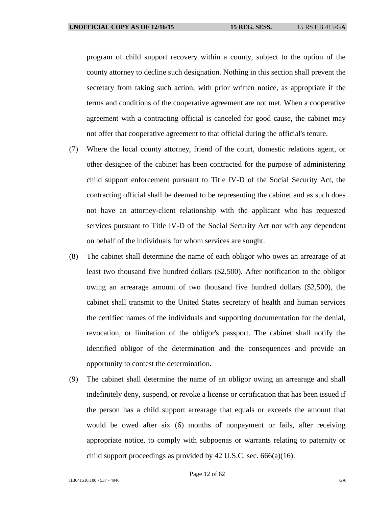program of child support recovery within a county, subject to the option of the county attorney to decline such designation. Nothing in this section shall prevent the secretary from taking such action, with prior written notice, as appropriate if the terms and conditions of the cooperative agreement are not met. When a cooperative agreement with a contracting official is canceled for good cause, the cabinet may not offer that cooperative agreement to that official during the official's tenure.

- (7) Where the local county attorney, friend of the court, domestic relations agent, or other designee of the cabinet has been contracted for the purpose of administering child support enforcement pursuant to Title IV-D of the Social Security Act, the contracting official shall be deemed to be representing the cabinet and as such does not have an attorney-client relationship with the applicant who has requested services pursuant to Title IV-D of the Social Security Act nor with any dependent on behalf of the individuals for whom services are sought.
- (8) The cabinet shall determine the name of each obligor who owes an arrearage of at least two thousand five hundred dollars (\$2,500). After notification to the obligor owing an arrearage amount of two thousand five hundred dollars (\$2,500), the cabinet shall transmit to the United States secretary of health and human services the certified names of the individuals and supporting documentation for the denial, revocation, or limitation of the obligor's passport. The cabinet shall notify the identified obligor of the determination and the consequences and provide an opportunity to contest the determination.
- (9) The cabinet shall determine the name of an obligor owing an arrearage and shall indefinitely deny, suspend, or revoke a license or certification that has been issued if the person has a child support arrearage that equals or exceeds the amount that would be owed after six (6) months of nonpayment or fails, after receiving appropriate notice, to comply with subpoenas or warrants relating to paternity or child support proceedings as provided by 42 U.S.C. sec. 666(a)(16).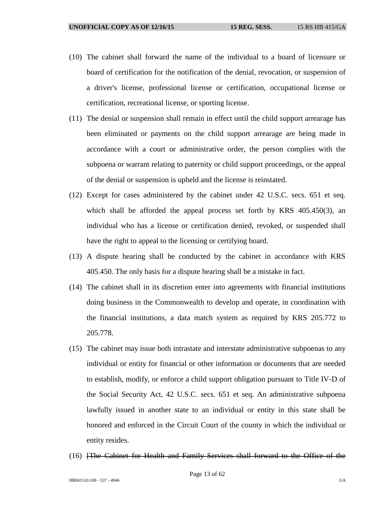- (10) The cabinet shall forward the name of the individual to a board of licensure or board of certification for the notification of the denial, revocation, or suspension of a driver's license, professional license or certification, occupational license or certification, recreational license, or sporting license.
- (11) The denial or suspension shall remain in effect until the child support arrearage has been eliminated or payments on the child support arrearage are being made in accordance with a court or administrative order, the person complies with the subpoena or warrant relating to paternity or child support proceedings, or the appeal of the denial or suspension is upheld and the license is reinstated.
- (12) Except for cases administered by the cabinet under 42 U.S.C. secs. 651 et seq. which shall be afforded the appeal process set forth by KRS 405.450(3), an individual who has a license or certification denied, revoked, or suspended shall have the right to appeal to the licensing or certifying board.
- (13) A dispute hearing shall be conducted by the cabinet in accordance with KRS 405.450. The only basis for a dispute hearing shall be a mistake in fact.
- (14) The cabinet shall in its discretion enter into agreements with financial institutions doing business in the Commonwealth to develop and operate, in coordination with the financial institutions, a data match system as required by KRS 205.772 to 205.778.
- (15) The cabinet may issue both intrastate and interstate administrative subpoenas to any individual or entity for financial or other information or documents that are needed to establish, modify, or enforce a child support obligation pursuant to Title IV-D of the Social Security Act, 42 U.S.C. secs. 651 et seq. An administrative subpoena lawfully issued in another state to an individual or entity in this state shall be honored and enforced in the Circuit Court of the county in which the individual or entity resides.
- (16) [The Cabinet for Health and Family Services shall forward to the Office of the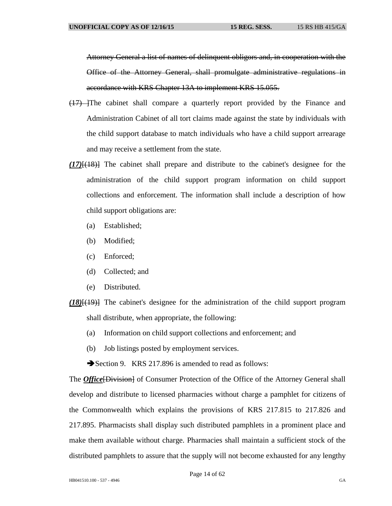Attorney General a list of names of delinquent obligors and, in cooperation with the Office of the Attorney General, shall promulgate administrative regulations in accordance with KRS Chapter 13A to implement KRS 15.055.

- (17) ]The cabinet shall compare a quarterly report provided by the Finance and Administration Cabinet of all tort claims made against the state by individuals with the child support database to match individuals who have a child support arrearage and may receive a settlement from the state.
- *(17)*[(18)] The cabinet shall prepare and distribute to the cabinet's designee for the administration of the child support program information on child support collections and enforcement. The information shall include a description of how child support obligations are:
	- (a) Established;
	- (b) Modified;
	- (c) Enforced;
	- (d) Collected; and
	- (e) Distributed.
- *(18)*[(19)] The cabinet's designee for the administration of the child support program shall distribute, when appropriate, the following:
	- (a) Information on child support collections and enforcement; and
	- (b) Job listings posted by employment services.

Section 9. KRS 217.896 is amended to read as follows:

The *Office* [Division] of Consumer Protection of the Office of the Attorney General shall develop and distribute to licensed pharmacies without charge a pamphlet for citizens of the Commonwealth which explains the provisions of KRS 217.815 to 217.826 and 217.895. Pharmacists shall display such distributed pamphlets in a prominent place and make them available without charge. Pharmacies shall maintain a sufficient stock of the distributed pamphlets to assure that the supply will not become exhausted for any lengthy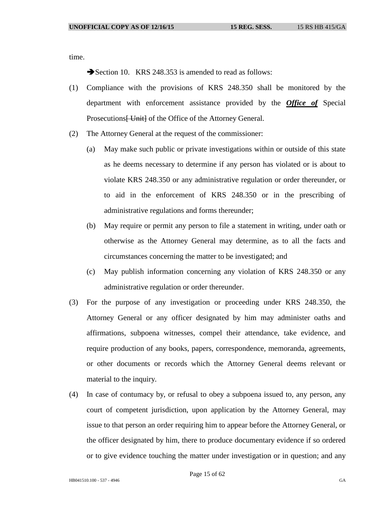time.

Section 10. KRS 248.353 is amended to read as follows:

- (1) Compliance with the provisions of KRS 248.350 shall be monitored by the department with enforcement assistance provided by the *Office of* Special Prosecutions <del>[ Unit]</del> of the Office of the Attorney General.
- (2) The Attorney General at the request of the commissioner:
	- (a) May make such public or private investigations within or outside of this state as he deems necessary to determine if any person has violated or is about to violate KRS 248.350 or any administrative regulation or order thereunder, or to aid in the enforcement of KRS 248.350 or in the prescribing of administrative regulations and forms thereunder;
	- (b) May require or permit any person to file a statement in writing, under oath or otherwise as the Attorney General may determine, as to all the facts and circumstances concerning the matter to be investigated; and
	- (c) May publish information concerning any violation of KRS 248.350 or any administrative regulation or order thereunder.
- (3) For the purpose of any investigation or proceeding under KRS 248.350, the Attorney General or any officer designated by him may administer oaths and affirmations, subpoena witnesses, compel their attendance, take evidence, and require production of any books, papers, correspondence, memoranda, agreements, or other documents or records which the Attorney General deems relevant or material to the inquiry.
- (4) In case of contumacy by, or refusal to obey a subpoena issued to, any person, any court of competent jurisdiction, upon application by the Attorney General, may issue to that person an order requiring him to appear before the Attorney General, or the officer designated by him, there to produce documentary evidence if so ordered or to give evidence touching the matter under investigation or in question; and any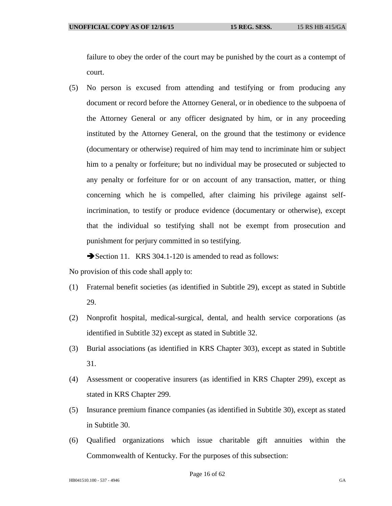failure to obey the order of the court may be punished by the court as a contempt of court.

(5) No person is excused from attending and testifying or from producing any document or record before the Attorney General, or in obedience to the subpoena of the Attorney General or any officer designated by him, or in any proceeding instituted by the Attorney General, on the ground that the testimony or evidence (documentary or otherwise) required of him may tend to incriminate him or subject him to a penalty or forfeiture; but no individual may be prosecuted or subjected to any penalty or forfeiture for or on account of any transaction, matter, or thing concerning which he is compelled, after claiming his privilege against selfincrimination, to testify or produce evidence (documentary or otherwise), except that the individual so testifying shall not be exempt from prosecution and punishment for perjury committed in so testifying.

Section 11. KRS 304.1-120 is amended to read as follows:

No provision of this code shall apply to:

- (1) Fraternal benefit societies (as identified in Subtitle 29), except as stated in Subtitle 29.
- (2) Nonprofit hospital, medical-surgical, dental, and health service corporations (as identified in Subtitle 32) except as stated in Subtitle 32.
- (3) Burial associations (as identified in KRS Chapter 303), except as stated in Subtitle 31.
- (4) Assessment or cooperative insurers (as identified in KRS Chapter 299), except as stated in KRS Chapter 299.
- (5) Insurance premium finance companies (as identified in Subtitle 30), except as stated in Subtitle 30.
- (6) Qualified organizations which issue charitable gift annuities within the Commonwealth of Kentucky. For the purposes of this subsection: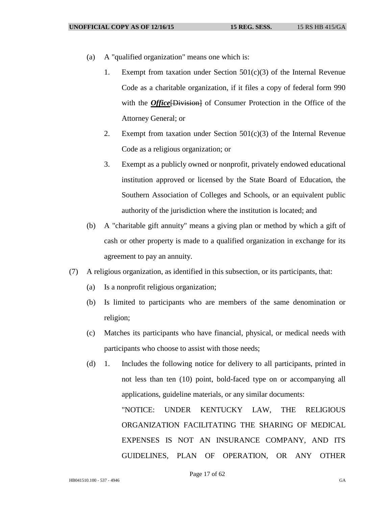- (a) A "qualified organization" means one which is:
	- 1. Exempt from taxation under Section  $501(c)(3)$  of the Internal Revenue Code as a charitable organization, if it files a copy of federal form 990 with the *Office* [Division] of Consumer Protection in the Office of the Attorney General; or
	- 2. Exempt from taxation under Section  $501(c)(3)$  of the Internal Revenue Code as a religious organization; or
	- 3. Exempt as a publicly owned or nonprofit, privately endowed educational institution approved or licensed by the State Board of Education, the Southern Association of Colleges and Schools, or an equivalent public authority of the jurisdiction where the institution is located; and
- (b) A "charitable gift annuity" means a giving plan or method by which a gift of cash or other property is made to a qualified organization in exchange for its agreement to pay an annuity.
- (7) A religious organization, as identified in this subsection, or its participants, that:
	- (a) Is a nonprofit religious organization;
	- (b) Is limited to participants who are members of the same denomination or religion;
	- (c) Matches its participants who have financial, physical, or medical needs with participants who choose to assist with those needs;
	- (d) 1. Includes the following notice for delivery to all participants, printed in not less than ten (10) point, bold-faced type on or accompanying all applications, guideline materials, or any similar documents: "NOTICE: UNDER KENTUCKY LAW, THE RELIGIOUS

ORGANIZATION FACILITATING THE SHARING OF MEDICAL EXPENSES IS NOT AN INSURANCE COMPANY, AND ITS GUIDELINES, PLAN OF OPERATION, OR ANY OTHER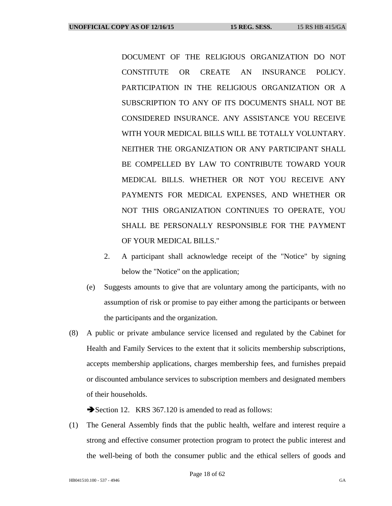DOCUMENT OF THE RELIGIOUS ORGANIZATION DO NOT CONSTITUTE OR CREATE AN INSURANCE POLICY. PARTICIPATION IN THE RELIGIOUS ORGANIZATION OR A SUBSCRIPTION TO ANY OF ITS DOCUMENTS SHALL NOT BE CONSIDERED INSURANCE. ANY ASSISTANCE YOU RECEIVE WITH YOUR MEDICAL BILLS WILL BE TOTALLY VOLUNTARY. NEITHER THE ORGANIZATION OR ANY PARTICIPANT SHALL BE COMPELLED BY LAW TO CONTRIBUTE TOWARD YOUR MEDICAL BILLS. WHETHER OR NOT YOU RECEIVE ANY PAYMENTS FOR MEDICAL EXPENSES, AND WHETHER OR NOT THIS ORGANIZATION CONTINUES TO OPERATE, YOU SHALL BE PERSONALLY RESPONSIBLE FOR THE PAYMENT OF YOUR MEDICAL BILLS."

- 2. A participant shall acknowledge receipt of the "Notice" by signing below the "Notice" on the application;
- (e) Suggests amounts to give that are voluntary among the participants, with no assumption of risk or promise to pay either among the participants or between the participants and the organization.
- (8) A public or private ambulance service licensed and regulated by the Cabinet for Health and Family Services to the extent that it solicits membership subscriptions, accepts membership applications, charges membership fees, and furnishes prepaid or discounted ambulance services to subscription members and designated members of their households.

Section 12. KRS 367.120 is amended to read as follows:

(1) The General Assembly finds that the public health, welfare and interest require a strong and effective consumer protection program to protect the public interest and the well-being of both the consumer public and the ethical sellers of goods and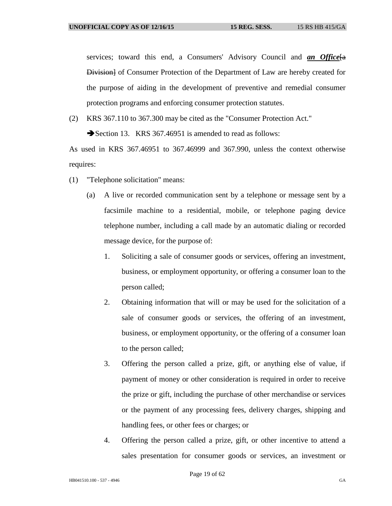services; toward this end, a Consumers' Advisory Council and *an Office*<sup>[a]</sup> Division] of Consumer Protection of the Department of Law are hereby created for the purpose of aiding in the development of preventive and remedial consumer protection programs and enforcing consumer protection statutes.

(2) KRS 367.110 to 367.300 may be cited as the "Consumer Protection Act."

Section 13. KRS 367.46951 is amended to read as follows:

As used in KRS 367.46951 to 367.46999 and 367.990, unless the context otherwise requires:

- (1) "Telephone solicitation" means:
	- (a) A live or recorded communication sent by a telephone or message sent by a facsimile machine to a residential, mobile, or telephone paging device telephone number, including a call made by an automatic dialing or recorded message device, for the purpose of:
		- 1. Soliciting a sale of consumer goods or services, offering an investment, business, or employment opportunity, or offering a consumer loan to the person called;
		- 2. Obtaining information that will or may be used for the solicitation of a sale of consumer goods or services, the offering of an investment, business, or employment opportunity, or the offering of a consumer loan to the person called;
		- 3. Offering the person called a prize, gift, or anything else of value, if payment of money or other consideration is required in order to receive the prize or gift, including the purchase of other merchandise or services or the payment of any processing fees, delivery charges, shipping and handling fees, or other fees or charges; or
		- 4. Offering the person called a prize, gift, or other incentive to attend a sales presentation for consumer goods or services, an investment or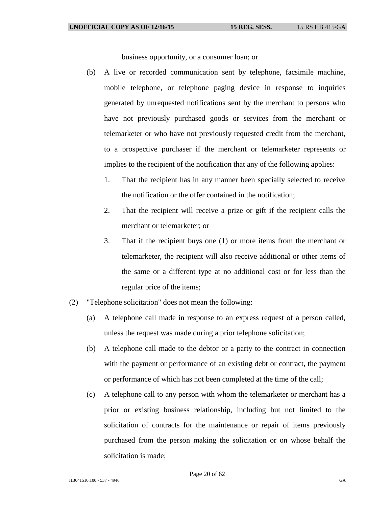business opportunity, or a consumer loan; or

- (b) A live or recorded communication sent by telephone, facsimile machine, mobile telephone, or telephone paging device in response to inquiries generated by unrequested notifications sent by the merchant to persons who have not previously purchased goods or services from the merchant or telemarketer or who have not previously requested credit from the merchant, to a prospective purchaser if the merchant or telemarketer represents or implies to the recipient of the notification that any of the following applies:
	- 1. That the recipient has in any manner been specially selected to receive the notification or the offer contained in the notification;
	- 2. That the recipient will receive a prize or gift if the recipient calls the merchant or telemarketer; or
	- 3. That if the recipient buys one (1) or more items from the merchant or telemarketer, the recipient will also receive additional or other items of the same or a different type at no additional cost or for less than the regular price of the items;
- (2) "Telephone solicitation" does not mean the following:
	- (a) A telephone call made in response to an express request of a person called, unless the request was made during a prior telephone solicitation;
	- (b) A telephone call made to the debtor or a party to the contract in connection with the payment or performance of an existing debt or contract, the payment or performance of which has not been completed at the time of the call;
	- (c) A telephone call to any person with whom the telemarketer or merchant has a prior or existing business relationship, including but not limited to the solicitation of contracts for the maintenance or repair of items previously purchased from the person making the solicitation or on whose behalf the solicitation is made;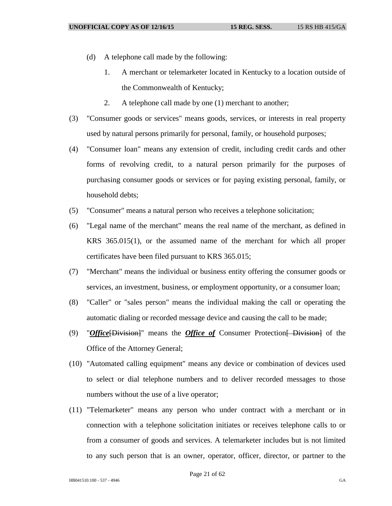- (d) A telephone call made by the following:
	- 1. A merchant or telemarketer located in Kentucky to a location outside of the Commonwealth of Kentucky;
	- 2. A telephone call made by one (1) merchant to another;
- (3) "Consumer goods or services" means goods, services, or interests in real property used by natural persons primarily for personal, family, or household purposes;
- (4) "Consumer loan" means any extension of credit, including credit cards and other forms of revolving credit, to a natural person primarily for the purposes of purchasing consumer goods or services or for paying existing personal, family, or household debts;
- (5) "Consumer" means a natural person who receives a telephone solicitation;
- (6) "Legal name of the merchant" means the real name of the merchant, as defined in KRS 365.015(1), or the assumed name of the merchant for which all proper certificates have been filed pursuant to KRS 365.015;
- (7) "Merchant" means the individual or business entity offering the consumer goods or services, an investment, business, or employment opportunity, or a consumer loan;
- (8) "Caller" or "sales person" means the individual making the call or operating the automatic dialing or recorded message device and causing the call to be made;
- (9) "*Office* [Division]" means the *Office of* Consumer Protection [ Division] of the Office of the Attorney General;
- (10) "Automated calling equipment" means any device or combination of devices used to select or dial telephone numbers and to deliver recorded messages to those numbers without the use of a live operator;
- (11) "Telemarketer" means any person who under contract with a merchant or in connection with a telephone solicitation initiates or receives telephone calls to or from a consumer of goods and services. A telemarketer includes but is not limited to any such person that is an owner, operator, officer, director, or partner to the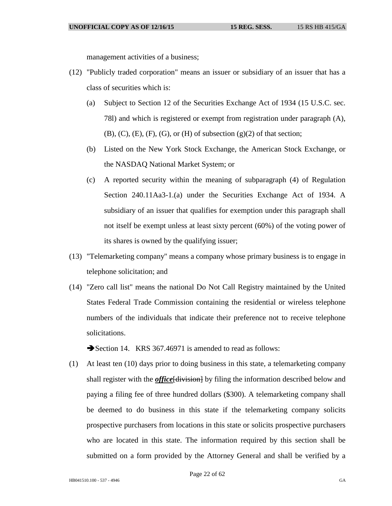management activities of a business;

- (12) "Publicly traded corporation" means an issuer or subsidiary of an issuer that has a class of securities which is:
	- (a) Subject to Section 12 of the Securities Exchange Act of 1934 (15 U.S.C. sec. 78l) and which is registered or exempt from registration under paragraph (A),  $(B)$ ,  $(C)$ ,  $(E)$ ,  $(F)$ ,  $(G)$ , or  $(H)$  of subsection  $(g)(2)$  of that section;
	- (b) Listed on the New York Stock Exchange, the American Stock Exchange, or the NASDAQ National Market System; or
	- (c) A reported security within the meaning of subparagraph (4) of Regulation Section 240.11Aa3-1.(a) under the Securities Exchange Act of 1934. A subsidiary of an issuer that qualifies for exemption under this paragraph shall not itself be exempt unless at least sixty percent (60%) of the voting power of its shares is owned by the qualifying issuer;
- (13) "Telemarketing company" means a company whose primary business is to engage in telephone solicitation; and
- (14) "Zero call list" means the national Do Not Call Registry maintained by the United States Federal Trade Commission containing the residential or wireless telephone numbers of the individuals that indicate their preference not to receive telephone solicitations.

Section 14. KRS 367.46971 is amended to read as follows:

(1) At least ten (10) days prior to doing business in this state, a telemarketing company shall register with the *office* [division] by filing the information described below and paying a filing fee of three hundred dollars (\$300). A telemarketing company shall be deemed to do business in this state if the telemarketing company solicits prospective purchasers from locations in this state or solicits prospective purchasers who are located in this state. The information required by this section shall be submitted on a form provided by the Attorney General and shall be verified by a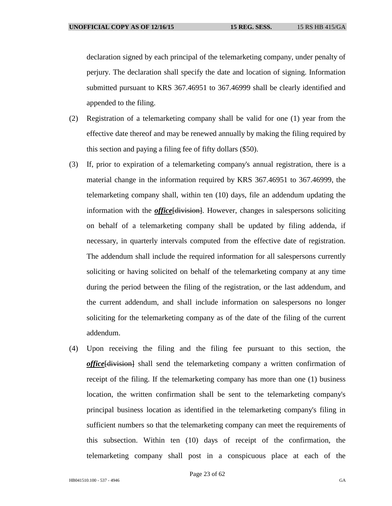declaration signed by each principal of the telemarketing company, under penalty of perjury. The declaration shall specify the date and location of signing. Information submitted pursuant to KRS 367.46951 to 367.46999 shall be clearly identified and appended to the filing.

- (2) Registration of a telemarketing company shall be valid for one (1) year from the effective date thereof and may be renewed annually by making the filing required by this section and paying a filing fee of fifty dollars (\$50).
- (3) If, prior to expiration of a telemarketing company's annual registration, there is a material change in the information required by KRS 367.46951 to 367.46999, the telemarketing company shall, within ten (10) days, file an addendum updating the information with the *office* [division]. However, changes in salespersons soliciting on behalf of a telemarketing company shall be updated by filing addenda, if necessary, in quarterly intervals computed from the effective date of registration. The addendum shall include the required information for all salespersons currently soliciting or having solicited on behalf of the telemarketing company at any time during the period between the filing of the registration, or the last addendum, and the current addendum, and shall include information on salespersons no longer soliciting for the telemarketing company as of the date of the filing of the current addendum.
- (4) Upon receiving the filing and the filing fee pursuant to this section, the *office*[division] shall send the telemarketing company a written confirmation of receipt of the filing. If the telemarketing company has more than one (1) business location, the written confirmation shall be sent to the telemarketing company's principal business location as identified in the telemarketing company's filing in sufficient numbers so that the telemarketing company can meet the requirements of this subsection. Within ten (10) days of receipt of the confirmation, the telemarketing company shall post in a conspicuous place at each of the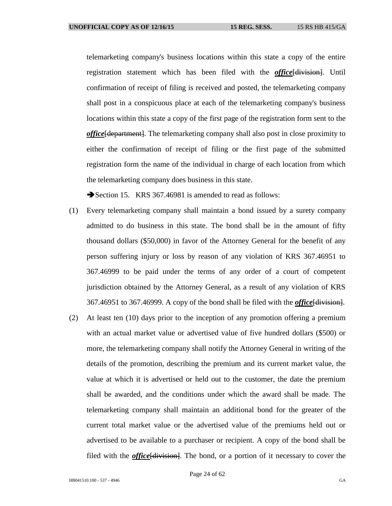telemarketing company's business locations within this state a copy of the entire registration statement which has been filed with the *office*[division]. Until confirmation of receipt of filing is received and posted, the telemarketing company shall post in a conspicuous place at each of the telemarketing company's business locations within this state a copy of the first page of the registration form sent to the *office*[department]. The telemarketing company shall also post in close proximity to either the confirmation of receipt of filing or the first page of the submitted registration form the name of the individual in charge of each location from which the telemarketing company does business in this state.

Section 15. KRS 367.46981 is amended to read as follows:

- (1) Every telemarketing company shall maintain a bond issued by a surety company admitted to do business in this state. The bond shall be in the amount of fifty thousand dollars (\$50,000) in favor of the Attorney General for the benefit of any person suffering injury or loss by reason of any violation of KRS 367.46951 to 367.46999 to be paid under the terms of any order of a court of competent jurisdiction obtained by the Attorney General, as a result of any violation of KRS 367.46951 to 367.46999. A copy of the bond shall be filed with the *office*[division].
- (2) At least ten (10) days prior to the inception of any promotion offering a premium with an actual market value or advertised value of five hundred dollars (\$500) or more, the telemarketing company shall notify the Attorney General in writing of the details of the promotion, describing the premium and its current market value, the value at which it is advertised or held out to the customer, the date the premium shall be awarded, and the conditions under which the award shall be made. The telemarketing company shall maintain an additional bond for the greater of the current total market value or the advertised value of the premiums held out or advertised to be available to a purchaser or recipient. A copy of the bond shall be filed with the *office*[division]. The bond, or a portion of it necessary to cover the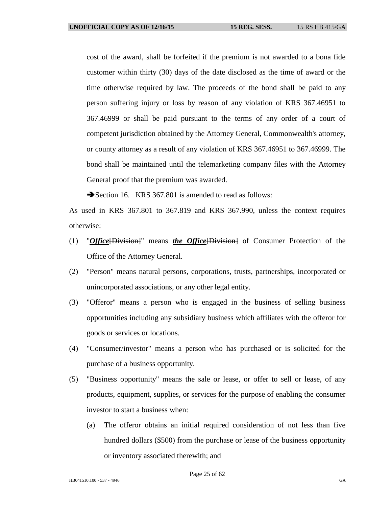cost of the award, shall be forfeited if the premium is not awarded to a bona fide customer within thirty (30) days of the date disclosed as the time of award or the time otherwise required by law. The proceeds of the bond shall be paid to any person suffering injury or loss by reason of any violation of KRS 367.46951 to 367.46999 or shall be paid pursuant to the terms of any order of a court of competent jurisdiction obtained by the Attorney General, Commonwealth's attorney, or county attorney as a result of any violation of KRS 367.46951 to 367.46999. The bond shall be maintained until the telemarketing company files with the Attorney General proof that the premium was awarded.

Section 16. KRS 367.801 is amended to read as follows:

As used in KRS 367.801 to 367.819 and KRS 367.990, unless the context requires otherwise:

- (1) "*Office*[Division]" means *the Office*[Division] of Consumer Protection of the Office of the Attorney General.
- (2) "Person" means natural persons, corporations, trusts, partnerships, incorporated or unincorporated associations, or any other legal entity.
- (3) "Offeror" means a person who is engaged in the business of selling business opportunities including any subsidiary business which affiliates with the offeror for goods or services or locations.
- (4) "Consumer/investor" means a person who has purchased or is solicited for the purchase of a business opportunity.
- (5) "Business opportunity" means the sale or lease, or offer to sell or lease, of any products, equipment, supplies, or services for the purpose of enabling the consumer investor to start a business when:
	- (a) The offeror obtains an initial required consideration of not less than five hundred dollars (\$500) from the purchase or lease of the business opportunity or inventory associated therewith; and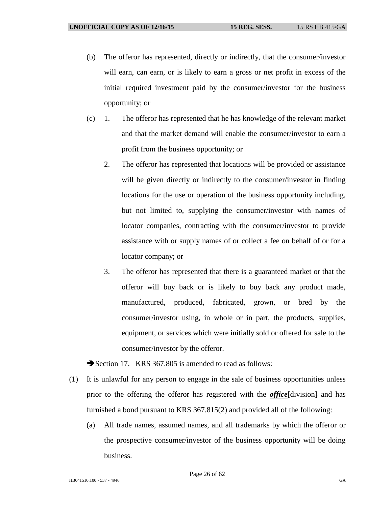- (b) The offeror has represented, directly or indirectly, that the consumer/investor will earn, can earn, or is likely to earn a gross or net profit in excess of the initial required investment paid by the consumer/investor for the business opportunity; or
- (c) 1. The offeror has represented that he has knowledge of the relevant market and that the market demand will enable the consumer/investor to earn a profit from the business opportunity; or
	- 2. The offeror has represented that locations will be provided or assistance will be given directly or indirectly to the consumer/investor in finding locations for the use or operation of the business opportunity including, but not limited to, supplying the consumer/investor with names of locator companies, contracting with the consumer/investor to provide assistance with or supply names of or collect a fee on behalf of or for a locator company; or
	- 3. The offeror has represented that there is a guaranteed market or that the offeror will buy back or is likely to buy back any product made, manufactured, produced, fabricated, grown, or bred by the consumer/investor using, in whole or in part, the products, supplies, equipment, or services which were initially sold or offered for sale to the consumer/investor by the offeror.

Section 17. KRS 367.805 is amended to read as follows:

- (1) It is unlawful for any person to engage in the sale of business opportunities unless prior to the offering the offeror has registered with the *office* [division] and has furnished a bond pursuant to KRS 367.815(2) and provided all of the following:
	- (a) All trade names, assumed names, and all trademarks by which the offeror or the prospective consumer/investor of the business opportunity will be doing business.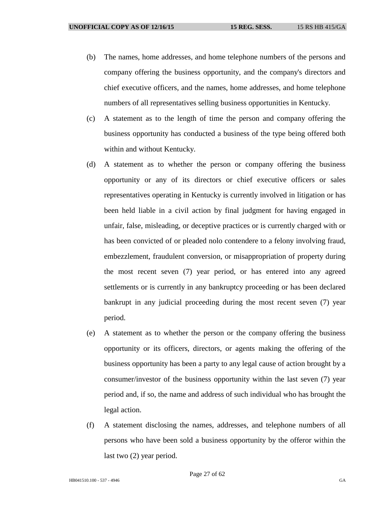- (b) The names, home addresses, and home telephone numbers of the persons and company offering the business opportunity, and the company's directors and chief executive officers, and the names, home addresses, and home telephone numbers of all representatives selling business opportunities in Kentucky.
- (c) A statement as to the length of time the person and company offering the business opportunity has conducted a business of the type being offered both within and without Kentucky.
- (d) A statement as to whether the person or company offering the business opportunity or any of its directors or chief executive officers or sales representatives operating in Kentucky is currently involved in litigation or has been held liable in a civil action by final judgment for having engaged in unfair, false, misleading, or deceptive practices or is currently charged with or has been convicted of or pleaded nolo contendere to a felony involving fraud, embezzlement, fraudulent conversion, or misappropriation of property during the most recent seven (7) year period, or has entered into any agreed settlements or is currently in any bankruptcy proceeding or has been declared bankrupt in any judicial proceeding during the most recent seven (7) year period.
- (e) A statement as to whether the person or the company offering the business opportunity or its officers, directors, or agents making the offering of the business opportunity has been a party to any legal cause of action brought by a consumer/investor of the business opportunity within the last seven (7) year period and, if so, the name and address of such individual who has brought the legal action.
- (f) A statement disclosing the names, addresses, and telephone numbers of all persons who have been sold a business opportunity by the offeror within the last two (2) year period.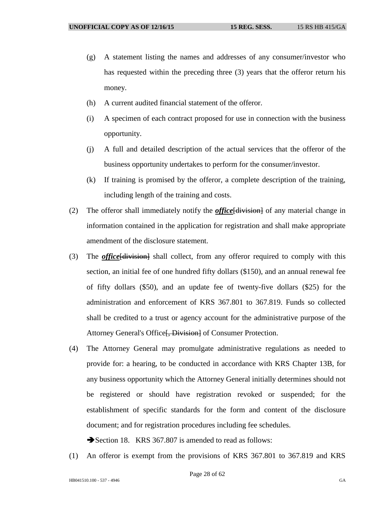- (g) A statement listing the names and addresses of any consumer/investor who has requested within the preceding three (3) years that the offeror return his money.
- (h) A current audited financial statement of the offeror.
- (i) A specimen of each contract proposed for use in connection with the business opportunity.
- (j) A full and detailed description of the actual services that the offeror of the business opportunity undertakes to perform for the consumer/investor.
- (k) If training is promised by the offeror, a complete description of the training, including length of the training and costs.
- (2) The offeror shall immediately notify the *office*[division] of any material change in information contained in the application for registration and shall make appropriate amendment of the disclosure statement.
- (3) The *office*[division] shall collect, from any offeror required to comply with this section, an initial fee of one hundred fifty dollars (\$150), and an annual renewal fee of fifty dollars (\$50), and an update fee of twenty-five dollars (\$25) for the administration and enforcement of KRS 367.801 to 367.819. Funds so collected shall be credited to a trust or agency account for the administrative purpose of the Attorney General's Office [, Division] of Consumer Protection.
- (4) The Attorney General may promulgate administrative regulations as needed to provide for: a hearing, to be conducted in accordance with KRS Chapter 13B, for any business opportunity which the Attorney General initially determines should not be registered or should have registration revoked or suspended; for the establishment of specific standards for the form and content of the disclosure document; and for registration procedures including fee schedules.

Section 18. KRS 367.807 is amended to read as follows:

(1) An offeror is exempt from the provisions of KRS 367.801 to 367.819 and KRS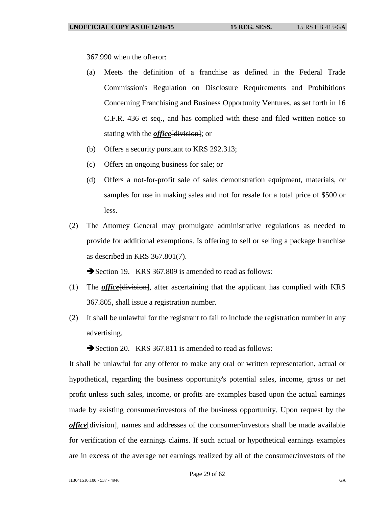367.990 when the offeror:

- (a) Meets the definition of a franchise as defined in the Federal Trade Commission's Regulation on Disclosure Requirements and Prohibitions Concerning Franchising and Business Opportunity Ventures, as set forth in 16 C.F.R. 436 et seq., and has complied with these and filed written notice so stating with the *office* [division]; or
- (b) Offers a security pursuant to KRS 292.313;
- (c) Offers an ongoing business for sale; or
- (d) Offers a not-for-profit sale of sales demonstration equipment, materials, or samples for use in making sales and not for resale for a total price of \$500 or less.
- (2) The Attorney General may promulgate administrative regulations as needed to provide for additional exemptions. Is offering to sell or selling a package franchise as described in KRS 367.801(7).

Section 19. KRS 367.809 is amended to read as follows:

- (1) The *office*[division], after ascertaining that the applicant has complied with KRS 367.805, shall issue a registration number.
- (2) It shall be unlawful for the registrant to fail to include the registration number in any advertising.

Section 20. KRS 367.811 is amended to read as follows:

It shall be unlawful for any offeror to make any oral or written representation, actual or hypothetical, regarding the business opportunity's potential sales, income, gross or net profit unless such sales, income, or profits are examples based upon the actual earnings made by existing consumer/investors of the business opportunity. Upon request by the *office*[division], names and addresses of the consumer/investors shall be made available for verification of the earnings claims. If such actual or hypothetical earnings examples are in excess of the average net earnings realized by all of the consumer/investors of the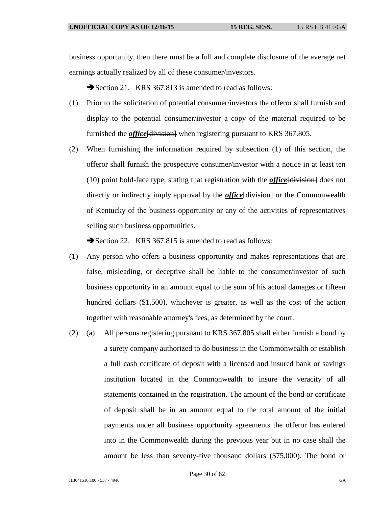business opportunity, then there must be a full and complete disclosure of the average net earnings actually realized by all of these consumer/investors.

Section 21. KRS 367.813 is amended to read as follows:

- (1) Prior to the solicitation of potential consumer/investors the offeror shall furnish and display to the potential consumer/investor a copy of the material required to be furnished the *office* [division] when registering pursuant to KRS 367.805.
- (2) When furnishing the information required by subsection (1) of this section, the offeror shall furnish the prospective consumer/investor with a notice in at least ten (10) point bold-face type, stating that registration with the *office*[division] does not directly or indirectly imply approval by the *office* [division] or the Commonwealth of Kentucky of the business opportunity or any of the activities of representatives selling such business opportunities.

Section 22. KRS 367.815 is amended to read as follows:

- (1) Any person who offers a business opportunity and makes representations that are false, misleading, or deceptive shall be liable to the consumer/investor of such business opportunity in an amount equal to the sum of his actual damages or fifteen hundred dollars (\$1,500), whichever is greater, as well as the cost of the action together with reasonable attorney's fees, as determined by the court.
- (2) (a) All persons registering pursuant to KRS 367.805 shall either furnish a bond by a surety company authorized to do business in the Commonwealth or establish a full cash certificate of deposit with a licensed and insured bank or savings institution located in the Commonwealth to insure the veracity of all statements contained in the registration. The amount of the bond or certificate of deposit shall be in an amount equal to the total amount of the initial payments under all business opportunity agreements the offeror has entered into in the Commonwealth during the previous year but in no case shall the amount be less than seventy-five thousand dollars (\$75,000). The bond or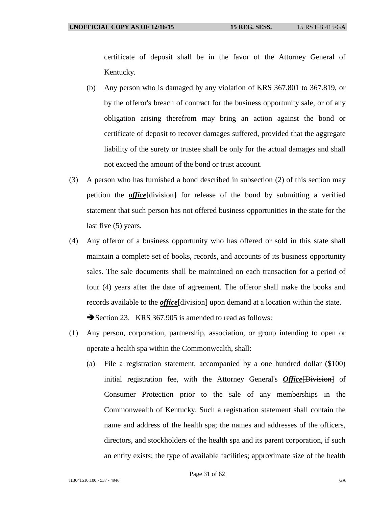certificate of deposit shall be in the favor of the Attorney General of Kentucky.

- (b) Any person who is damaged by any violation of KRS 367.801 to 367.819, or by the offeror's breach of contract for the business opportunity sale, or of any obligation arising therefrom may bring an action against the bond or certificate of deposit to recover damages suffered, provided that the aggregate liability of the surety or trustee shall be only for the actual damages and shall not exceed the amount of the bond or trust account.
- (3) A person who has furnished a bond described in subsection (2) of this section may petition the *office*[division] for release of the bond by submitting a verified statement that such person has not offered business opportunities in the state for the last five (5) years.
- (4) Any offeror of a business opportunity who has offered or sold in this state shall maintain a complete set of books, records, and accounts of its business opportunity sales. The sale documents shall be maintained on each transaction for a period of four (4) years after the date of agreement. The offeror shall make the books and records available to the *office* [division] upon demand at a location within the state. Section 23. KRS 367.905 is amended to read as follows:
- (1) Any person, corporation, partnership, association, or group intending to open or operate a health spa within the Commonwealth, shall:
	- (a) File a registration statement, accompanied by a one hundred dollar (\$100) initial registration fee, with the Attorney General's *Office* [Division] of Consumer Protection prior to the sale of any memberships in the Commonwealth of Kentucky. Such a registration statement shall contain the name and address of the health spa; the names and addresses of the officers, directors, and stockholders of the health spa and its parent corporation, if such an entity exists; the type of available facilities; approximate size of the health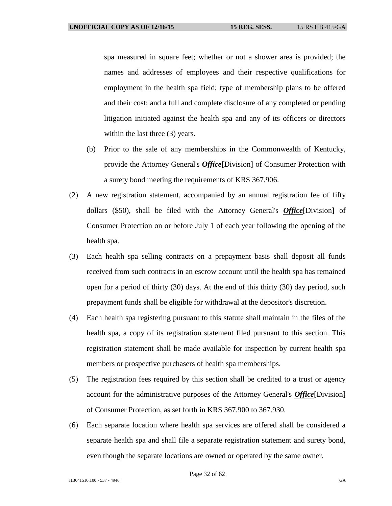spa measured in square feet; whether or not a shower area is provided; the names and addresses of employees and their respective qualifications for employment in the health spa field; type of membership plans to be offered and their cost; and a full and complete disclosure of any completed or pending litigation initiated against the health spa and any of its officers or directors within the last three (3) years.

- (b) Prior to the sale of any memberships in the Commonwealth of Kentucky, provide the Attorney General's *Office*[Division] of Consumer Protection with a surety bond meeting the requirements of KRS 367.906.
- (2) A new registration statement, accompanied by an annual registration fee of fifty dollars (\$50), shall be filed with the Attorney General's *Office*[Division] of Consumer Protection on or before July 1 of each year following the opening of the health spa.
- (3) Each health spa selling contracts on a prepayment basis shall deposit all funds received from such contracts in an escrow account until the health spa has remained open for a period of thirty (30) days. At the end of this thirty (30) day period, such prepayment funds shall be eligible for withdrawal at the depositor's discretion.
- (4) Each health spa registering pursuant to this statute shall maintain in the files of the health spa, a copy of its registration statement filed pursuant to this section. This registration statement shall be made available for inspection by current health spa members or prospective purchasers of health spa memberships.
- (5) The registration fees required by this section shall be credited to a trust or agency account for the administrative purposes of the Attorney General's *Office* [Division] of Consumer Protection, as set forth in KRS 367.900 to 367.930.
- (6) Each separate location where health spa services are offered shall be considered a separate health spa and shall file a separate registration statement and surety bond, even though the separate locations are owned or operated by the same owner.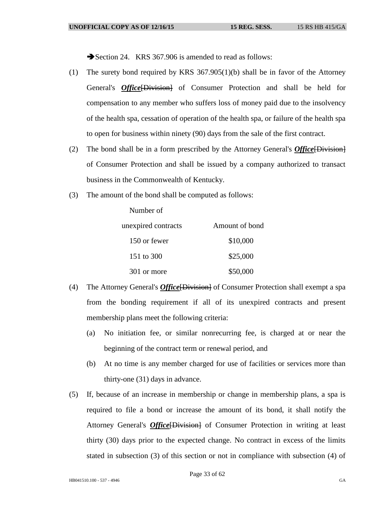Section 24. KRS 367.906 is amended to read as follows:

- (1) The surety bond required by KRS 367.905(1)(b) shall be in favor of the Attorney General's *Office*[Division] of Consumer Protection and shall be held for compensation to any member who suffers loss of money paid due to the insolvency of the health spa, cessation of operation of the health spa, or failure of the health spa to open for business within ninety (90) days from the sale of the first contract.
- (2) The bond shall be in a form prescribed by the Attorney General's *Office*[Division] of Consumer Protection and shall be issued by a company authorized to transact business in the Commonwealth of Kentucky.
- (3) The amount of the bond shall be computed as follows:

Number of

| unexpired contracts | Amount of bond |
|---------------------|----------------|
| 150 or fewer        | \$10,000       |
| 151 to 300          | \$25,000       |
| 301 or more         | \$50,000       |

- (4) The Attorney General's *Office*[Division] of Consumer Protection shall exempt a spa from the bonding requirement if all of its unexpired contracts and present membership plans meet the following criteria:
	- (a) No initiation fee, or similar nonrecurring fee, is charged at or near the beginning of the contract term or renewal period, and
	- (b) At no time is any member charged for use of facilities or services more than thirty-one (31) days in advance.
- (5) If, because of an increase in membership or change in membership plans, a spa is required to file a bond or increase the amount of its bond, it shall notify the Attorney General's *Office* [Division] of Consumer Protection in writing at least thirty (30) days prior to the expected change. No contract in excess of the limits stated in subsection (3) of this section or not in compliance with subsection (4) of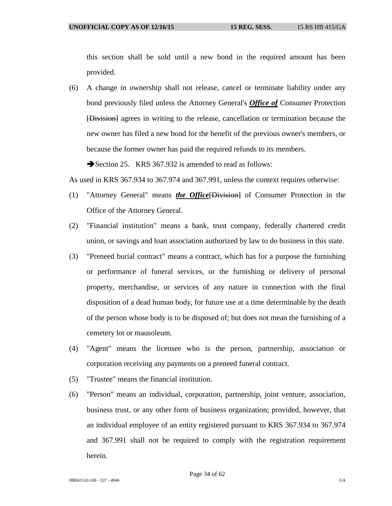this section shall be sold until a new bond in the required amount has been provided.

(6) A change in ownership shall not release, cancel or terminate liability under any bond previously filed unless the Attorney General's *Office of* Consumer Protection [Division] agrees in writing to the release, cancellation or termination because the new owner has filed a new bond for the benefit of the previous owner's members, or because the former owner has paid the required refunds to its members.

Section 25. KRS 367.932 is amended to read as follows:

As used in KRS 367.934 to 367.974 and 367.991, unless the context requires otherwise:

- (1) "Attorney General" means *the Office*[Division] of Consumer Protection in the Office of the Attorney General.
- (2) "Financial institution" means a bank, trust company, federally chartered credit union, or savings and loan association authorized by law to do business in this state.
- (3) "Preneed burial contract" means a contract, which has for a purpose the furnishing or performance of funeral services, or the furnishing or delivery of personal property, merchandise, or services of any nature in connection with the final disposition of a dead human body, for future use at a time determinable by the death of the person whose body is to be disposed of; but does not mean the furnishing of a cemetery lot or mausoleum.
- (4) "Agent" means the licensee who is the person, partnership, association or corporation receiving any payments on a preneed funeral contract.
- (5) "Trustee" means the financial institution.
- (6) "Person" means an individual, corporation, partnership, joint venture, association, business trust, or any other form of business organization; provided, however, that an individual employee of an entity registered pursuant to KRS 367.934 to 367.974 and 367.991 shall not be required to comply with the registration requirement herein.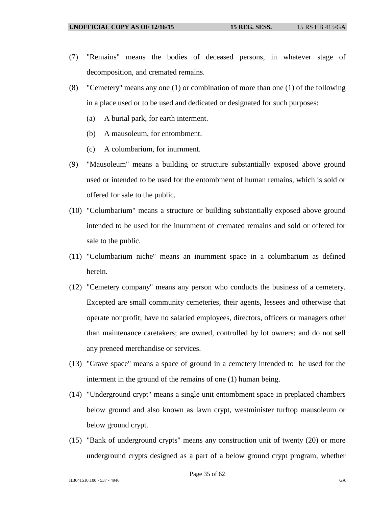- (7) "Remains" means the bodies of deceased persons, in whatever stage of decomposition, and cremated remains.
- (8) "Cemetery" means any one (1) or combination of more than one (1) of the following in a place used or to be used and dedicated or designated for such purposes:
	- (a) A burial park, for earth interment.
	- (b) A mausoleum, for entombment.
	- (c) A columbarium, for inurnment.
- (9) "Mausoleum" means a building or structure substantially exposed above ground used or intended to be used for the entombment of human remains, which is sold or offered for sale to the public.
- (10) "Columbarium" means a structure or building substantially exposed above ground intended to be used for the inurnment of cremated remains and sold or offered for sale to the public.
- (11) "Columbarium niche" means an inurnment space in a columbarium as defined herein.
- (12) "Cemetery company" means any person who conducts the business of a cemetery. Excepted are small community cemeteries, their agents, lessees and otherwise that operate nonprofit; have no salaried employees, directors, officers or managers other than maintenance caretakers; are owned, controlled by lot owners; and do not sell any preneed merchandise or services.
- (13) "Grave space" means a space of ground in a cemetery intended to be used for the interment in the ground of the remains of one (1) human being.
- (14) "Underground crypt" means a single unit entombment space in preplaced chambers below ground and also known as lawn crypt, westminister turftop mausoleum or below ground crypt.
- (15) "Bank of underground crypts" means any construction unit of twenty (20) or more underground crypts designed as a part of a below ground crypt program, whether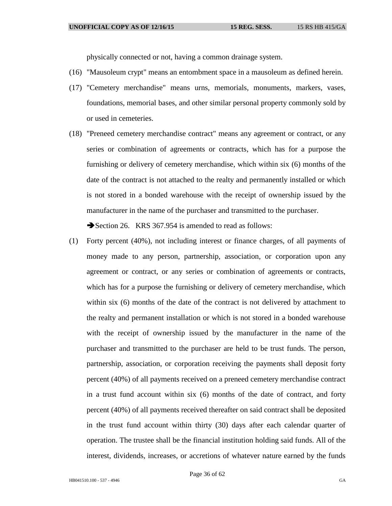physically connected or not, having a common drainage system.

- (16) "Mausoleum crypt" means an entombment space in a mausoleum as defined herein.
- (17) "Cemetery merchandise" means urns, memorials, monuments, markers, vases, foundations, memorial bases, and other similar personal property commonly sold by or used in cemeteries.
- (18) "Preneed cemetery merchandise contract" means any agreement or contract, or any series or combination of agreements or contracts, which has for a purpose the furnishing or delivery of cemetery merchandise, which within six (6) months of the date of the contract is not attached to the realty and permanently installed or which is not stored in a bonded warehouse with the receipt of ownership issued by the manufacturer in the name of the purchaser and transmitted to the purchaser.

Section 26. KRS 367.954 is amended to read as follows:

(1) Forty percent (40%), not including interest or finance charges, of all payments of money made to any person, partnership, association, or corporation upon any agreement or contract, or any series or combination of agreements or contracts, which has for a purpose the furnishing or delivery of cemetery merchandise, which within six (6) months of the date of the contract is not delivered by attachment to the realty and permanent installation or which is not stored in a bonded warehouse with the receipt of ownership issued by the manufacturer in the name of the purchaser and transmitted to the purchaser are held to be trust funds. The person, partnership, association, or corporation receiving the payments shall deposit forty percent (40%) of all payments received on a preneed cemetery merchandise contract in a trust fund account within six (6) months of the date of contract, and forty percent (40%) of all payments received thereafter on said contract shall be deposited in the trust fund account within thirty (30) days after each calendar quarter of operation. The trustee shall be the financial institution holding said funds. All of the interest, dividends, increases, or accretions of whatever nature earned by the funds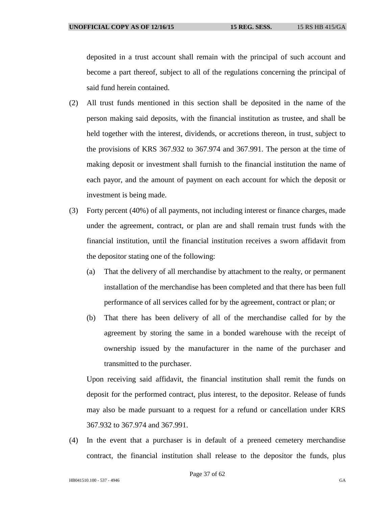deposited in a trust account shall remain with the principal of such account and become a part thereof, subject to all of the regulations concerning the principal of said fund herein contained.

- (2) All trust funds mentioned in this section shall be deposited in the name of the person making said deposits, with the financial institution as trustee, and shall be held together with the interest, dividends, or accretions thereon, in trust, subject to the provisions of KRS 367.932 to 367.974 and 367.991. The person at the time of making deposit or investment shall furnish to the financial institution the name of each payor, and the amount of payment on each account for which the deposit or investment is being made.
- (3) Forty percent (40%) of all payments, not including interest or finance charges, made under the agreement, contract, or plan are and shall remain trust funds with the financial institution, until the financial institution receives a sworn affidavit from the depositor stating one of the following:
	- (a) That the delivery of all merchandise by attachment to the realty, or permanent installation of the merchandise has been completed and that there has been full performance of all services called for by the agreement, contract or plan; or
	- (b) That there has been delivery of all of the merchandise called for by the agreement by storing the same in a bonded warehouse with the receipt of ownership issued by the manufacturer in the name of the purchaser and transmitted to the purchaser.

Upon receiving said affidavit, the financial institution shall remit the funds on deposit for the performed contract, plus interest, to the depositor. Release of funds may also be made pursuant to a request for a refund or cancellation under KRS 367.932 to 367.974 and 367.991.

(4) In the event that a purchaser is in default of a preneed cemetery merchandise contract, the financial institution shall release to the depositor the funds, plus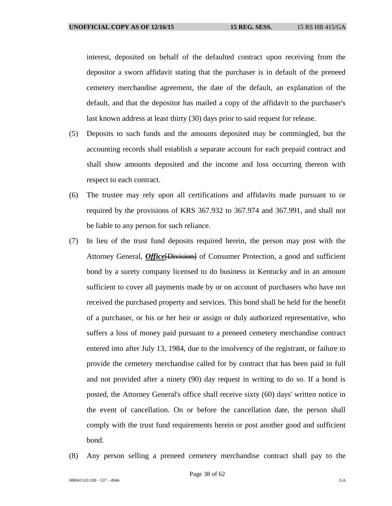interest, deposited on behalf of the defaulted contract upon receiving from the depositor a sworn affidavit stating that the purchaser is in default of the preneed cemetery merchandise agreement, the date of the default, an explanation of the default, and that the depositor has mailed a copy of the affidavit to the purchaser's last known address at least thirty (30) days prior to said request for release.

- (5) Deposits to such funds and the amounts deposited may be commingled, but the accounting records shall establish a separate account for each prepaid contract and shall show amounts deposited and the income and loss occurring thereon with respect to each contract.
- (6) The trustee may rely upon all certifications and affidavits made pursuant to or required by the provisions of KRS 367.932 to 367.974 and 367.991, and shall not be liable to any person for such reliance.
- (7) In lieu of the trust fund deposits required herein, the person may post with the Attorney General, *Office*[Division] of Consumer Protection, a good and sufficient bond by a surety company licensed to do business in Kentucky and in an amount sufficient to cover all payments made by or on account of purchasers who have not received the purchased property and services. This bond shall be held for the benefit of a purchaser, or his or her heir or assign or duly authorized representative, who suffers a loss of money paid pursuant to a preneed cemetery merchandise contract entered into after July 13, 1984, due to the insolvency of the registrant, or failure to provide the cemetery merchandise called for by contract that has been paid in full and not provided after a ninety (90) day request in writing to do so. If a bond is posted, the Attorney General's office shall receive sixty (60) days' written notice in the event of cancellation. On or before the cancellation date, the person shall comply with the trust fund requirements herein or post another good and sufficient bond.
- (8) Any person selling a preneed cemetery merchandise contract shall pay to the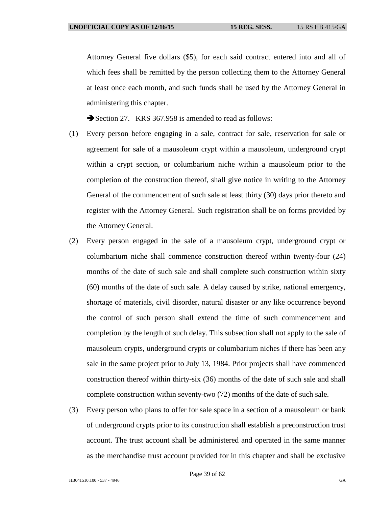Attorney General five dollars (\$5), for each said contract entered into and all of which fees shall be remitted by the person collecting them to the Attorney General at least once each month, and such funds shall be used by the Attorney General in administering this chapter.

Section 27. KRS 367.958 is amended to read as follows:

- (1) Every person before engaging in a sale, contract for sale, reservation for sale or agreement for sale of a mausoleum crypt within a mausoleum, underground crypt within a crypt section, or columbarium niche within a mausoleum prior to the completion of the construction thereof, shall give notice in writing to the Attorney General of the commencement of such sale at least thirty (30) days prior thereto and register with the Attorney General. Such registration shall be on forms provided by the Attorney General.
- (2) Every person engaged in the sale of a mausoleum crypt, underground crypt or columbarium niche shall commence construction thereof within twenty-four (24) months of the date of such sale and shall complete such construction within sixty (60) months of the date of such sale. A delay caused by strike, national emergency, shortage of materials, civil disorder, natural disaster or any like occurrence beyond the control of such person shall extend the time of such commencement and completion by the length of such delay. This subsection shall not apply to the sale of mausoleum crypts, underground crypts or columbarium niches if there has been any sale in the same project prior to July 13, 1984. Prior projects shall have commenced construction thereof within thirty-six (36) months of the date of such sale and shall complete construction within seventy-two (72) months of the date of such sale.
- (3) Every person who plans to offer for sale space in a section of a mausoleum or bank of underground crypts prior to its construction shall establish a preconstruction trust account. The trust account shall be administered and operated in the same manner as the merchandise trust account provided for in this chapter and shall be exclusive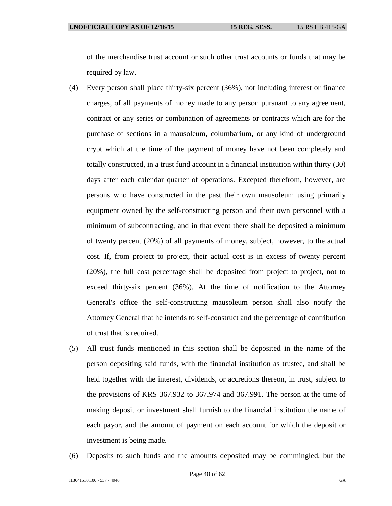of the merchandise trust account or such other trust accounts or funds that may be required by law.

- (4) Every person shall place thirty-six percent (36%), not including interest or finance charges, of all payments of money made to any person pursuant to any agreement, contract or any series or combination of agreements or contracts which are for the purchase of sections in a mausoleum, columbarium, or any kind of underground crypt which at the time of the payment of money have not been completely and totally constructed, in a trust fund account in a financial institution within thirty (30) days after each calendar quarter of operations. Excepted therefrom, however, are persons who have constructed in the past their own mausoleum using primarily equipment owned by the self-constructing person and their own personnel with a minimum of subcontracting, and in that event there shall be deposited a minimum of twenty percent (20%) of all payments of money, subject, however, to the actual cost. If, from project to project, their actual cost is in excess of twenty percent (20%), the full cost percentage shall be deposited from project to project, not to exceed thirty-six percent (36%). At the time of notification to the Attorney General's office the self-constructing mausoleum person shall also notify the Attorney General that he intends to self-construct and the percentage of contribution of trust that is required.
- (5) All trust funds mentioned in this section shall be deposited in the name of the person depositing said funds, with the financial institution as trustee, and shall be held together with the interest, dividends, or accretions thereon, in trust, subject to the provisions of KRS 367.932 to 367.974 and 367.991. The person at the time of making deposit or investment shall furnish to the financial institution the name of each payor, and the amount of payment on each account for which the deposit or investment is being made.
- (6) Deposits to such funds and the amounts deposited may be commingled, but the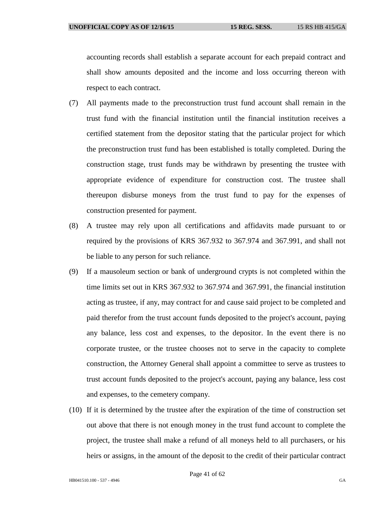accounting records shall establish a separate account for each prepaid contract and shall show amounts deposited and the income and loss occurring thereon with respect to each contract.

- (7) All payments made to the preconstruction trust fund account shall remain in the trust fund with the financial institution until the financial institution receives a certified statement from the depositor stating that the particular project for which the preconstruction trust fund has been established is totally completed. During the construction stage, trust funds may be withdrawn by presenting the trustee with appropriate evidence of expenditure for construction cost. The trustee shall thereupon disburse moneys from the trust fund to pay for the expenses of construction presented for payment.
- (8) A trustee may rely upon all certifications and affidavits made pursuant to or required by the provisions of KRS 367.932 to 367.974 and 367.991, and shall not be liable to any person for such reliance.
- (9) If a mausoleum section or bank of underground crypts is not completed within the time limits set out in KRS 367.932 to 367.974 and 367.991, the financial institution acting as trustee, if any, may contract for and cause said project to be completed and paid therefor from the trust account funds deposited to the project's account, paying any balance, less cost and expenses, to the depositor. In the event there is no corporate trustee, or the trustee chooses not to serve in the capacity to complete construction, the Attorney General shall appoint a committee to serve as trustees to trust account funds deposited to the project's account, paying any balance, less cost and expenses, to the cemetery company.
- (10) If it is determined by the trustee after the expiration of the time of construction set out above that there is not enough money in the trust fund account to complete the project, the trustee shall make a refund of all moneys held to all purchasers, or his heirs or assigns, in the amount of the deposit to the credit of their particular contract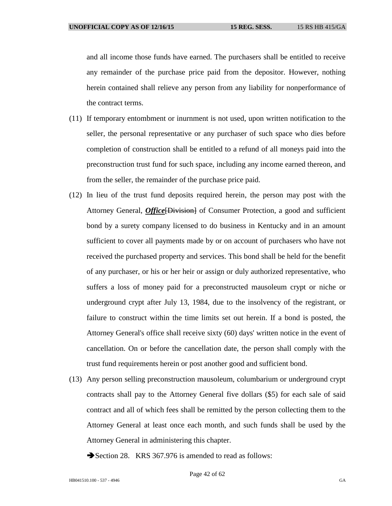and all income those funds have earned. The purchasers shall be entitled to receive any remainder of the purchase price paid from the depositor. However, nothing herein contained shall relieve any person from any liability for nonperformance of the contract terms.

- (11) If temporary entombment or inurnment is not used, upon written notification to the seller, the personal representative or any purchaser of such space who dies before completion of construction shall be entitled to a refund of all moneys paid into the preconstruction trust fund for such space, including any income earned thereon, and from the seller, the remainder of the purchase price paid.
- (12) In lieu of the trust fund deposits required herein, the person may post with the Attorney General, *Office* [Division] of Consumer Protection, a good and sufficient bond by a surety company licensed to do business in Kentucky and in an amount sufficient to cover all payments made by or on account of purchasers who have not received the purchased property and services. This bond shall be held for the benefit of any purchaser, or his or her heir or assign or duly authorized representative, who suffers a loss of money paid for a preconstructed mausoleum crypt or niche or underground crypt after July 13, 1984, due to the insolvency of the registrant, or failure to construct within the time limits set out herein. If a bond is posted, the Attorney General's office shall receive sixty (60) days' written notice in the event of cancellation. On or before the cancellation date, the person shall comply with the trust fund requirements herein or post another good and sufficient bond.
- (13) Any person selling preconstruction mausoleum, columbarium or underground crypt contracts shall pay to the Attorney General five dollars (\$5) for each sale of said contract and all of which fees shall be remitted by the person collecting them to the Attorney General at least once each month, and such funds shall be used by the Attorney General in administering this chapter.
	- Section 28. KRS 367.976 is amended to read as follows: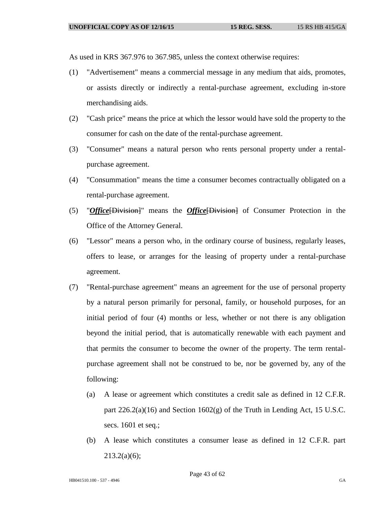As used in KRS 367.976 to 367.985, unless the context otherwise requires:

- (1) "Advertisement" means a commercial message in any medium that aids, promotes, or assists directly or indirectly a rental-purchase agreement, excluding in-store merchandising aids.
- (2) "Cash price" means the price at which the lessor would have sold the property to the consumer for cash on the date of the rental-purchase agreement.
- (3) "Consumer" means a natural person who rents personal property under a rentalpurchase agreement.
- (4) "Consummation" means the time a consumer becomes contractually obligated on a rental-purchase agreement.
- (5) "*Office*[Division]" means the *Office*[Division] of Consumer Protection in the Office of the Attorney General.
- (6) "Lessor" means a person who, in the ordinary course of business, regularly leases, offers to lease, or arranges for the leasing of property under a rental-purchase agreement.
- (7) "Rental-purchase agreement" means an agreement for the use of personal property by a natural person primarily for personal, family, or household purposes, for an initial period of four (4) months or less, whether or not there is any obligation beyond the initial period, that is automatically renewable with each payment and that permits the consumer to become the owner of the property. The term rentalpurchase agreement shall not be construed to be, nor be governed by, any of the following:
	- (a) A lease or agreement which constitutes a credit sale as defined in 12 C.F.R. part  $226.2(a)(16)$  and Section  $1602(g)$  of the Truth in Lending Act, 15 U.S.C. secs. 1601 et seq.;
	- (b) A lease which constitutes a consumer lease as defined in 12 C.F.R. part  $213.2(a)(6);$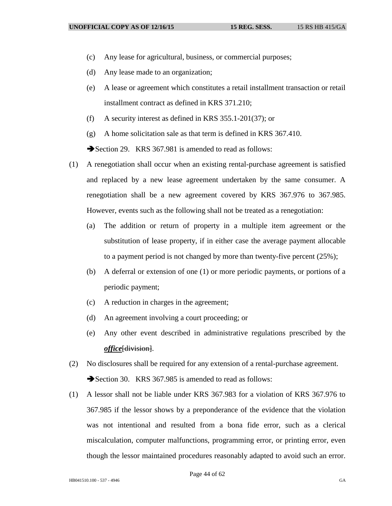- (c) Any lease for agricultural, business, or commercial purposes;
- (d) Any lease made to an organization;
- (e) A lease or agreement which constitutes a retail installment transaction or retail installment contract as defined in KRS 371.210;
- (f) A security interest as defined in KRS 355.1-201(37); or

(g) A home solicitation sale as that term is defined in KRS 367.410. Section 29. KRS 367.981 is amended to read as follows:

- (1) A renegotiation shall occur when an existing rental-purchase agreement is satisfied and replaced by a new lease agreement undertaken by the same consumer. A renegotiation shall be a new agreement covered by KRS 367.976 to 367.985. However, events such as the following shall not be treated as a renegotiation:
	- (a) The addition or return of property in a multiple item agreement or the substitution of lease property, if in either case the average payment allocable to a payment period is not changed by more than twenty-five percent (25%);
	- (b) A deferral or extension of one (1) or more periodic payments, or portions of a periodic payment;
	- (c) A reduction in charges in the agreement;
	- (d) An agreement involving a court proceeding; or
	- (e) Any other event described in administrative regulations prescribed by the *office*[division].
- (2) No disclosures shall be required for any extension of a rental-purchase agreement. Section 30. KRS 367.985 is amended to read as follows:
- (1) A lessor shall not be liable under KRS 367.983 for a violation of KRS 367.976 to 367.985 if the lessor shows by a preponderance of the evidence that the violation was not intentional and resulted from a bona fide error, such as a clerical miscalculation, computer malfunctions, programming error, or printing error, even though the lessor maintained procedures reasonably adapted to avoid such an error.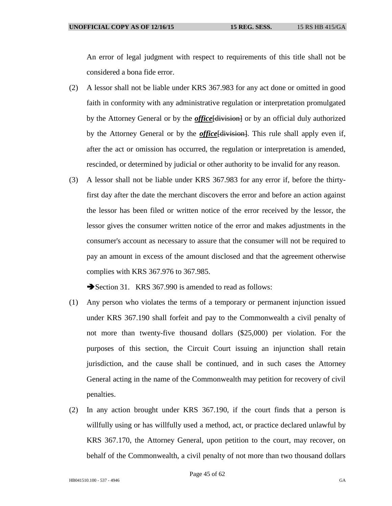An error of legal judgment with respect to requirements of this title shall not be considered a bona fide error.

- (2) A lessor shall not be liable under KRS 367.983 for any act done or omitted in good faith in conformity with any administrative regulation or interpretation promulgated by the Attorney General or by the *office*[division] or by an official duly authorized by the Attorney General or by the *office*[division]. This rule shall apply even if, after the act or omission has occurred, the regulation or interpretation is amended, rescinded, or determined by judicial or other authority to be invalid for any reason.
- (3) A lessor shall not be liable under KRS 367.983 for any error if, before the thirtyfirst day after the date the merchant discovers the error and before an action against the lessor has been filed or written notice of the error received by the lessor, the lessor gives the consumer written notice of the error and makes adjustments in the consumer's account as necessary to assure that the consumer will not be required to pay an amount in excess of the amount disclosed and that the agreement otherwise complies with KRS 367.976 to 367.985.

Section 31. KRS 367.990 is amended to read as follows:

- (1) Any person who violates the terms of a temporary or permanent injunction issued under KRS 367.190 shall forfeit and pay to the Commonwealth a civil penalty of not more than twenty-five thousand dollars (\$25,000) per violation. For the purposes of this section, the Circuit Court issuing an injunction shall retain jurisdiction, and the cause shall be continued, and in such cases the Attorney General acting in the name of the Commonwealth may petition for recovery of civil penalties.
- (2) In any action brought under KRS 367.190, if the court finds that a person is willfully using or has willfully used a method, act, or practice declared unlawful by KRS 367.170, the Attorney General, upon petition to the court, may recover, on behalf of the Commonwealth, a civil penalty of not more than two thousand dollars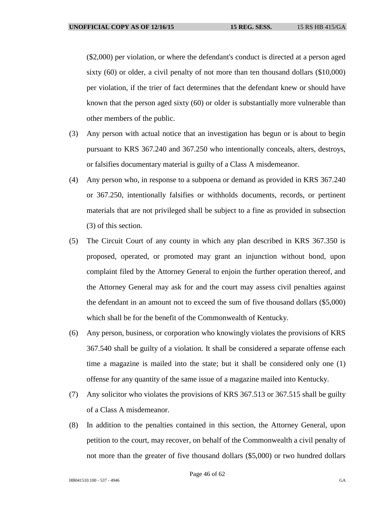(\$2,000) per violation, or where the defendant's conduct is directed at a person aged sixty (60) or older, a civil penalty of not more than ten thousand dollars (\$10,000) per violation, if the trier of fact determines that the defendant knew or should have known that the person aged sixty (60) or older is substantially more vulnerable than other members of the public.

- (3) Any person with actual notice that an investigation has begun or is about to begin pursuant to KRS 367.240 and 367.250 who intentionally conceals, alters, destroys, or falsifies documentary material is guilty of a Class A misdemeanor.
- (4) Any person who, in response to a subpoena or demand as provided in KRS 367.240 or 367.250, intentionally falsifies or withholds documents, records, or pertinent materials that are not privileged shall be subject to a fine as provided in subsection (3) of this section.
- (5) The Circuit Court of any county in which any plan described in KRS 367.350 is proposed, operated, or promoted may grant an injunction without bond, upon complaint filed by the Attorney General to enjoin the further operation thereof, and the Attorney General may ask for and the court may assess civil penalties against the defendant in an amount not to exceed the sum of five thousand dollars (\$5,000) which shall be for the benefit of the Commonwealth of Kentucky.
- (6) Any person, business, or corporation who knowingly violates the provisions of KRS 367.540 shall be guilty of a violation. It shall be considered a separate offense each time a magazine is mailed into the state; but it shall be considered only one (1) offense for any quantity of the same issue of a magazine mailed into Kentucky.
- (7) Any solicitor who violates the provisions of KRS 367.513 or 367.515 shall be guilty of a Class A misdemeanor.
- (8) In addition to the penalties contained in this section, the Attorney General, upon petition to the court, may recover, on behalf of the Commonwealth a civil penalty of not more than the greater of five thousand dollars (\$5,000) or two hundred dollars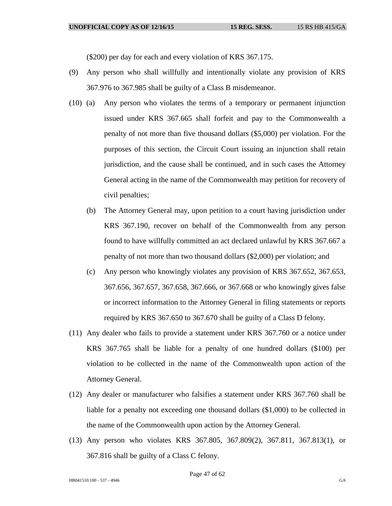(\$200) per day for each and every violation of KRS 367.175.

- (9) Any person who shall willfully and intentionally violate any provision of KRS 367.976 to 367.985 shall be guilty of a Class B misdemeanor.
- (10) (a) Any person who violates the terms of a temporary or permanent injunction issued under KRS 367.665 shall forfeit and pay to the Commonwealth a penalty of not more than five thousand dollars (\$5,000) per violation. For the purposes of this section, the Circuit Court issuing an injunction shall retain jurisdiction, and the cause shall be continued, and in such cases the Attorney General acting in the name of the Commonwealth may petition for recovery of civil penalties;
	- (b) The Attorney General may, upon petition to a court having jurisdiction under KRS 367.190, recover on behalf of the Commonwealth from any person found to have willfully committed an act declared unlawful by KRS 367.667 a penalty of not more than two thousand dollars (\$2,000) per violation; and
	- (c) Any person who knowingly violates any provision of KRS 367.652, 367.653, 367.656, 367.657, 367.658, 367.666, or 367.668 or who knowingly gives false or incorrect information to the Attorney General in filing statements or reports required by KRS 367.650 to 367.670 shall be guilty of a Class D felony.
- (11) Any dealer who fails to provide a statement under KRS 367.760 or a notice under KRS 367.765 shall be liable for a penalty of one hundred dollars (\$100) per violation to be collected in the name of the Commonwealth upon action of the Attorney General.
- (12) Any dealer or manufacturer who falsifies a statement under KRS 367.760 shall be liable for a penalty not exceeding one thousand dollars (\$1,000) to be collected in the name of the Commonwealth upon action by the Attorney General.
- (13) Any person who violates KRS 367.805, 367.809(2), 367.811, 367.813(1), or 367.816 shall be guilty of a Class C felony.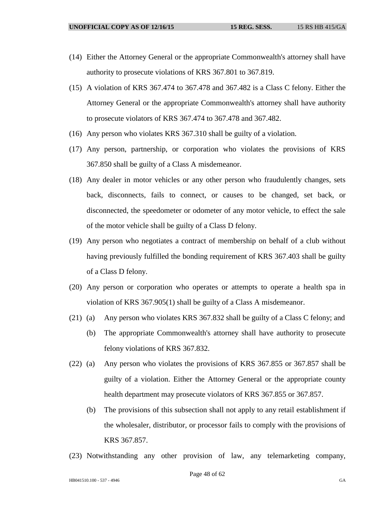- (14) Either the Attorney General or the appropriate Commonwealth's attorney shall have authority to prosecute violations of KRS 367.801 to 367.819.
- (15) A violation of KRS 367.474 to 367.478 and 367.482 is a Class C felony. Either the Attorney General or the appropriate Commonwealth's attorney shall have authority to prosecute violators of KRS 367.474 to 367.478 and 367.482.
- (16) Any person who violates KRS 367.310 shall be guilty of a violation.
- (17) Any person, partnership, or corporation who violates the provisions of KRS 367.850 shall be guilty of a Class A misdemeanor.
- (18) Any dealer in motor vehicles or any other person who fraudulently changes, sets back, disconnects, fails to connect, or causes to be changed, set back, or disconnected, the speedometer or odometer of any motor vehicle, to effect the sale of the motor vehicle shall be guilty of a Class D felony.
- (19) Any person who negotiates a contract of membership on behalf of a club without having previously fulfilled the bonding requirement of KRS 367.403 shall be guilty of a Class D felony.
- (20) Any person or corporation who operates or attempts to operate a health spa in violation of KRS 367.905(1) shall be guilty of a Class A misdemeanor.
- (21) (a) Any person who violates KRS 367.832 shall be guilty of a Class C felony; and
	- (b) The appropriate Commonwealth's attorney shall have authority to prosecute felony violations of KRS 367.832.
- (22) (a) Any person who violates the provisions of KRS 367.855 or 367.857 shall be guilty of a violation. Either the Attorney General or the appropriate county health department may prosecute violators of KRS 367.855 or 367.857.
	- (b) The provisions of this subsection shall not apply to any retail establishment if the wholesaler, distributor, or processor fails to comply with the provisions of KRS 367.857.
- (23) Notwithstanding any other provision of law, any telemarketing company,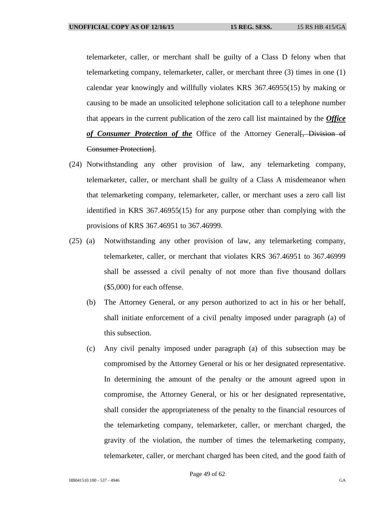telemarketer, caller, or merchant shall be guilty of a Class D felony when that telemarketing company, telemarketer, caller, or merchant three (3) times in one (1) calendar year knowingly and willfully violates KRS 367.46955(15) by making or causing to be made an unsolicited telephone solicitation call to a telephone number that appears in the current publication of the zero call list maintained by the *Office*  of Consumer Protection of the Office of the Attorney General. Division of Consumer Protection].

- (24) Notwithstanding any other provision of law, any telemarketing company, telemarketer, caller, or merchant shall be guilty of a Class A misdemeanor when that telemarketing company, telemarketer, caller, or merchant uses a zero call list identified in KRS 367.46955(15) for any purpose other than complying with the provisions of KRS 367.46951 to 367.46999.
- (25) (a) Notwithstanding any other provision of law, any telemarketing company, telemarketer, caller, or merchant that violates KRS 367.46951 to 367.46999 shall be assessed a civil penalty of not more than five thousand dollars (\$5,000) for each offense.
	- (b) The Attorney General, or any person authorized to act in his or her behalf, shall initiate enforcement of a civil penalty imposed under paragraph (a) of this subsection.
	- (c) Any civil penalty imposed under paragraph (a) of this subsection may be compromised by the Attorney General or his or her designated representative. In determining the amount of the penalty or the amount agreed upon in compromise, the Attorney General, or his or her designated representative, shall consider the appropriateness of the penalty to the financial resources of the telemarketing company, telemarketer, caller, or merchant charged, the gravity of the violation, the number of times the telemarketing company, telemarketer, caller, or merchant charged has been cited, and the good faith of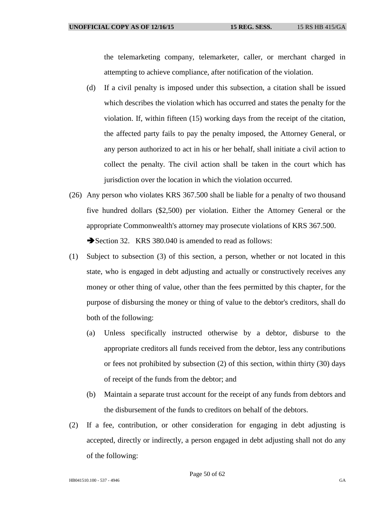the telemarketing company, telemarketer, caller, or merchant charged in attempting to achieve compliance, after notification of the violation.

- (d) If a civil penalty is imposed under this subsection, a citation shall be issued which describes the violation which has occurred and states the penalty for the violation. If, within fifteen (15) working days from the receipt of the citation, the affected party fails to pay the penalty imposed, the Attorney General, or any person authorized to act in his or her behalf, shall initiate a civil action to collect the penalty. The civil action shall be taken in the court which has jurisdiction over the location in which the violation occurred.
- (26) Any person who violates KRS 367.500 shall be liable for a penalty of two thousand five hundred dollars (\$2,500) per violation. Either the Attorney General or the appropriate Commonwealth's attorney may prosecute violations of KRS 367.500. Section 32. KRS 380.040 is amended to read as follows:
- (1) Subject to subsection (3) of this section, a person, whether or not located in this state, who is engaged in debt adjusting and actually or constructively receives any money or other thing of value, other than the fees permitted by this chapter, for the purpose of disbursing the money or thing of value to the debtor's creditors, shall do both of the following:
	- (a) Unless specifically instructed otherwise by a debtor, disburse to the appropriate creditors all funds received from the debtor, less any contributions or fees not prohibited by subsection (2) of this section, within thirty (30) days of receipt of the funds from the debtor; and
	- (b) Maintain a separate trust account for the receipt of any funds from debtors and the disbursement of the funds to creditors on behalf of the debtors.
- (2) If a fee, contribution, or other consideration for engaging in debt adjusting is accepted, directly or indirectly, a person engaged in debt adjusting shall not do any of the following: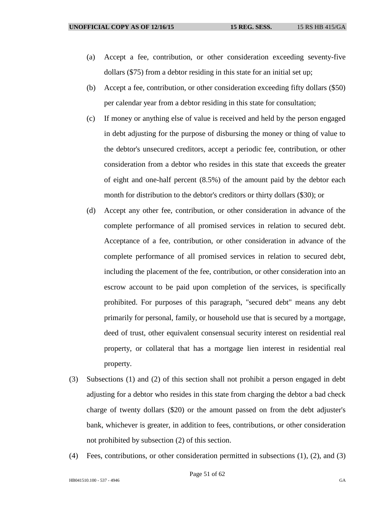- (a) Accept a fee, contribution, or other consideration exceeding seventy-five dollars (\$75) from a debtor residing in this state for an initial set up;
- (b) Accept a fee, contribution, or other consideration exceeding fifty dollars (\$50) per calendar year from a debtor residing in this state for consultation;
- (c) If money or anything else of value is received and held by the person engaged in debt adjusting for the purpose of disbursing the money or thing of value to the debtor's unsecured creditors, accept a periodic fee, contribution, or other consideration from a debtor who resides in this state that exceeds the greater of eight and one-half percent (8.5%) of the amount paid by the debtor each month for distribution to the debtor's creditors or thirty dollars (\$30); or
- (d) Accept any other fee, contribution, or other consideration in advance of the complete performance of all promised services in relation to secured debt. Acceptance of a fee, contribution, or other consideration in advance of the complete performance of all promised services in relation to secured debt, including the placement of the fee, contribution, or other consideration into an escrow account to be paid upon completion of the services, is specifically prohibited. For purposes of this paragraph, "secured debt" means any debt primarily for personal, family, or household use that is secured by a mortgage, deed of trust, other equivalent consensual security interest on residential real property, or collateral that has a mortgage lien interest in residential real property.
- (3) Subsections (1) and (2) of this section shall not prohibit a person engaged in debt adjusting for a debtor who resides in this state from charging the debtor a bad check charge of twenty dollars (\$20) or the amount passed on from the debt adjuster's bank, whichever is greater, in addition to fees, contributions, or other consideration not prohibited by subsection (2) of this section.
- (4) Fees, contributions, or other consideration permitted in subsections (1), (2), and (3)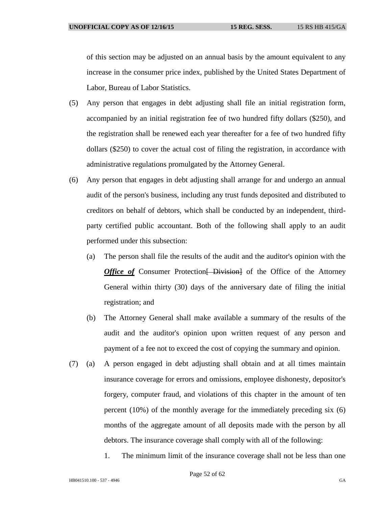of this section may be adjusted on an annual basis by the amount equivalent to any increase in the consumer price index, published by the United States Department of Labor, Bureau of Labor Statistics.

- (5) Any person that engages in debt adjusting shall file an initial registration form, accompanied by an initial registration fee of two hundred fifty dollars (\$250), and the registration shall be renewed each year thereafter for a fee of two hundred fifty dollars (\$250) to cover the actual cost of filing the registration, in accordance with administrative regulations promulgated by the Attorney General.
- (6) Any person that engages in debt adjusting shall arrange for and undergo an annual audit of the person's business, including any trust funds deposited and distributed to creditors on behalf of debtors, which shall be conducted by an independent, thirdparty certified public accountant. Both of the following shall apply to an audit performed under this subsection:
	- (a) The person shall file the results of the audit and the auditor's opinion with the *Office of* Consumer Protection [ Division] of the Office of the Attorney General within thirty (30) days of the anniversary date of filing the initial registration; and
	- (b) The Attorney General shall make available a summary of the results of the audit and the auditor's opinion upon written request of any person and payment of a fee not to exceed the cost of copying the summary and opinion.
- (7) (a) A person engaged in debt adjusting shall obtain and at all times maintain insurance coverage for errors and omissions, employee dishonesty, depositor's forgery, computer fraud, and violations of this chapter in the amount of ten percent (10%) of the monthly average for the immediately preceding six (6) months of the aggregate amount of all deposits made with the person by all debtors. The insurance coverage shall comply with all of the following:
	- 1. The minimum limit of the insurance coverage shall not be less than one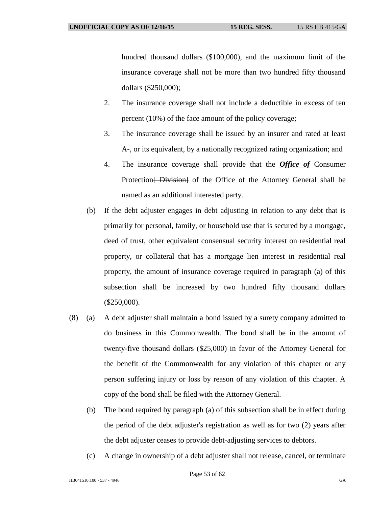hundred thousand dollars (\$100,000), and the maximum limit of the insurance coverage shall not be more than two hundred fifty thousand dollars (\$250,000);

- 2. The insurance coverage shall not include a deductible in excess of ten percent (10%) of the face amount of the policy coverage;
- 3. The insurance coverage shall be issued by an insurer and rated at least A-, or its equivalent, by a nationally recognized rating organization; and
- 4. The insurance coverage shall provide that the *Office of* Consumer Protection<del>[ Division]</del> of the Office of the Attorney General shall be named as an additional interested party.
- (b) If the debt adjuster engages in debt adjusting in relation to any debt that is primarily for personal, family, or household use that is secured by a mortgage, deed of trust, other equivalent consensual security interest on residential real property, or collateral that has a mortgage lien interest in residential real property, the amount of insurance coverage required in paragraph (a) of this subsection shall be increased by two hundred fifty thousand dollars (\$250,000).
- (8) (a) A debt adjuster shall maintain a bond issued by a surety company admitted to do business in this Commonwealth. The bond shall be in the amount of twenty-five thousand dollars (\$25,000) in favor of the Attorney General for the benefit of the Commonwealth for any violation of this chapter or any person suffering injury or loss by reason of any violation of this chapter. A copy of the bond shall be filed with the Attorney General.
	- (b) The bond required by paragraph (a) of this subsection shall be in effect during the period of the debt adjuster's registration as well as for two (2) years after the debt adjuster ceases to provide debt-adjusting services to debtors.
	- (c) A change in ownership of a debt adjuster shall not release, cancel, or terminate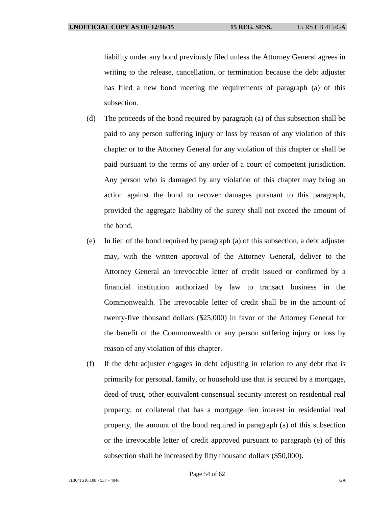liability under any bond previously filed unless the Attorney General agrees in writing to the release, cancellation, or termination because the debt adjuster has filed a new bond meeting the requirements of paragraph (a) of this subsection.

- (d) The proceeds of the bond required by paragraph (a) of this subsection shall be paid to any person suffering injury or loss by reason of any violation of this chapter or to the Attorney General for any violation of this chapter or shall be paid pursuant to the terms of any order of a court of competent jurisdiction. Any person who is damaged by any violation of this chapter may bring an action against the bond to recover damages pursuant to this paragraph, provided the aggregate liability of the surety shall not exceed the amount of the bond.
- (e) In lieu of the bond required by paragraph (a) of this subsection, a debt adjuster may, with the written approval of the Attorney General, deliver to the Attorney General an irrevocable letter of credit issued or confirmed by a financial institution authorized by law to transact business in the Commonwealth. The irrevocable letter of credit shall be in the amount of twenty-five thousand dollars (\$25,000) in favor of the Attorney General for the benefit of the Commonwealth or any person suffering injury or loss by reason of any violation of this chapter.
- (f) If the debt adjuster engages in debt adjusting in relation to any debt that is primarily for personal, family, or household use that is secured by a mortgage, deed of trust, other equivalent consensual security interest on residential real property, or collateral that has a mortgage lien interest in residential real property, the amount of the bond required in paragraph (a) of this subsection or the irrevocable letter of credit approved pursuant to paragraph (e) of this subsection shall be increased by fifty thousand dollars (\$50,000).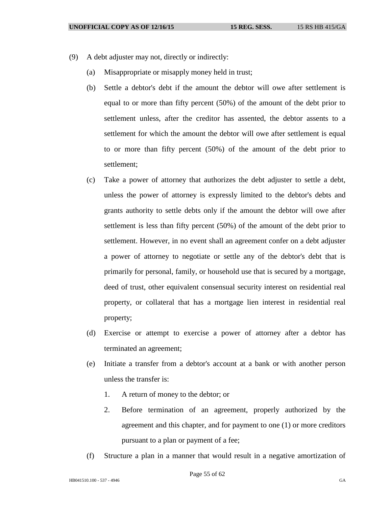- (9) A debt adjuster may not, directly or indirectly:
	- (a) Misappropriate or misapply money held in trust;
	- (b) Settle a debtor's debt if the amount the debtor will owe after settlement is equal to or more than fifty percent (50%) of the amount of the debt prior to settlement unless, after the creditor has assented, the debtor assents to a settlement for which the amount the debtor will owe after settlement is equal to or more than fifty percent (50%) of the amount of the debt prior to settlement;
	- (c) Take a power of attorney that authorizes the debt adjuster to settle a debt, unless the power of attorney is expressly limited to the debtor's debts and grants authority to settle debts only if the amount the debtor will owe after settlement is less than fifty percent (50%) of the amount of the debt prior to settlement. However, in no event shall an agreement confer on a debt adjuster a power of attorney to negotiate or settle any of the debtor's debt that is primarily for personal, family, or household use that is secured by a mortgage, deed of trust, other equivalent consensual security interest on residential real property, or collateral that has a mortgage lien interest in residential real property;
	- (d) Exercise or attempt to exercise a power of attorney after a debtor has terminated an agreement;
	- (e) Initiate a transfer from a debtor's account at a bank or with another person unless the transfer is:
		- 1. A return of money to the debtor; or
		- 2. Before termination of an agreement, properly authorized by the agreement and this chapter, and for payment to one (1) or more creditors pursuant to a plan or payment of a fee;
	- (f) Structure a plan in a manner that would result in a negative amortization of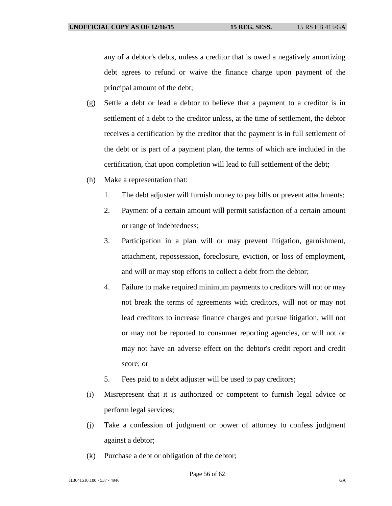any of a debtor's debts, unless a creditor that is owed a negatively amortizing debt agrees to refund or waive the finance charge upon payment of the principal amount of the debt;

- (g) Settle a debt or lead a debtor to believe that a payment to a creditor is in settlement of a debt to the creditor unless, at the time of settlement, the debtor receives a certification by the creditor that the payment is in full settlement of the debt or is part of a payment plan, the terms of which are included in the certification, that upon completion will lead to full settlement of the debt;
- (h) Make a representation that:
	- 1. The debt adjuster will furnish money to pay bills or prevent attachments;
	- 2. Payment of a certain amount will permit satisfaction of a certain amount or range of indebtedness;
	- 3. Participation in a plan will or may prevent litigation, garnishment, attachment, repossession, foreclosure, eviction, or loss of employment, and will or may stop efforts to collect a debt from the debtor;
	- 4. Failure to make required minimum payments to creditors will not or may not break the terms of agreements with creditors, will not or may not lead creditors to increase finance charges and pursue litigation, will not or may not be reported to consumer reporting agencies, or will not or may not have an adverse effect on the debtor's credit report and credit score; or
	- 5. Fees paid to a debt adjuster will be used to pay creditors;
- (i) Misrepresent that it is authorized or competent to furnish legal advice or perform legal services;
- (j) Take a confession of judgment or power of attorney to confess judgment against a debtor;
- (k) Purchase a debt or obligation of the debtor;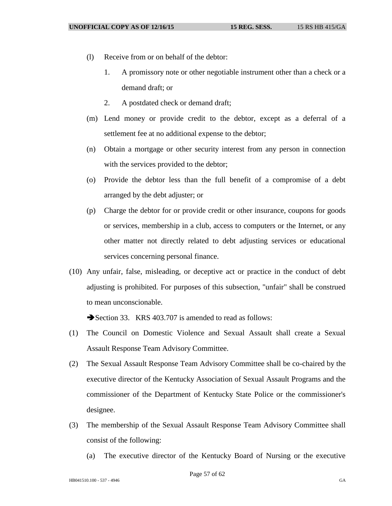- (l) Receive from or on behalf of the debtor:
	- 1. A promissory note or other negotiable instrument other than a check or a demand draft; or
	- 2. A postdated check or demand draft;
- (m) Lend money or provide credit to the debtor, except as a deferral of a settlement fee at no additional expense to the debtor;
- (n) Obtain a mortgage or other security interest from any person in connection with the services provided to the debtor;
- (o) Provide the debtor less than the full benefit of a compromise of a debt arranged by the debt adjuster; or
- (p) Charge the debtor for or provide credit or other insurance, coupons for goods or services, membership in a club, access to computers or the Internet, or any other matter not directly related to debt adjusting services or educational services concerning personal finance.
- (10) Any unfair, false, misleading, or deceptive act or practice in the conduct of debt adjusting is prohibited. For purposes of this subsection, "unfair" shall be construed to mean unconscionable.

Section 33. KRS 403.707 is amended to read as follows:

- (1) The Council on Domestic Violence and Sexual Assault shall create a Sexual Assault Response Team Advisory Committee.
- (2) The Sexual Assault Response Team Advisory Committee shall be co-chaired by the executive director of the Kentucky Association of Sexual Assault Programs and the commissioner of the Department of Kentucky State Police or the commissioner's designee.
- (3) The membership of the Sexual Assault Response Team Advisory Committee shall consist of the following:
	- (a) The executive director of the Kentucky Board of Nursing or the executive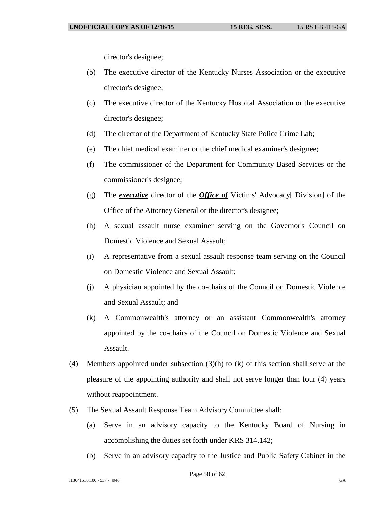director's designee;

- (b) The executive director of the Kentucky Nurses Association or the executive director's designee;
- (c) The executive director of the Kentucky Hospital Association or the executive director's designee;
- (d) The director of the Department of Kentucky State Police Crime Lab;
- (e) The chief medical examiner or the chief medical examiner's designee;
- (f) The commissioner of the Department for Community Based Services or the commissioner's designee;
- (g) The *executive* director of the *Office of* Victims' Advocacy[ Division] of the Office of the Attorney General or the director's designee;
- (h) A sexual assault nurse examiner serving on the Governor's Council on Domestic Violence and Sexual Assault;
- (i) A representative from a sexual assault response team serving on the Council on Domestic Violence and Sexual Assault;
- (j) A physician appointed by the co-chairs of the Council on Domestic Violence and Sexual Assault; and
- (k) A Commonwealth's attorney or an assistant Commonwealth's attorney appointed by the co-chairs of the Council on Domestic Violence and Sexual Assault.
- (4) Members appointed under subsection (3)(h) to (k) of this section shall serve at the pleasure of the appointing authority and shall not serve longer than four (4) years without reappointment.
- (5) The Sexual Assault Response Team Advisory Committee shall:
	- (a) Serve in an advisory capacity to the Kentucky Board of Nursing in accomplishing the duties set forth under KRS 314.142;
	- (b) Serve in an advisory capacity to the Justice and Public Safety Cabinet in the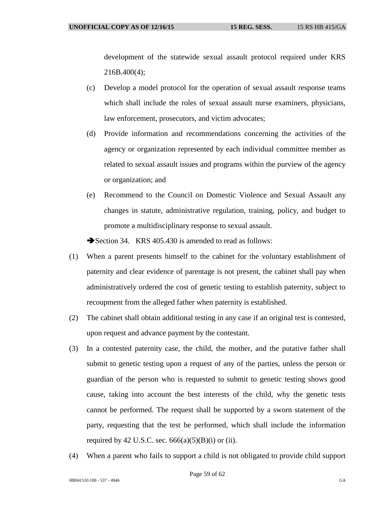development of the statewide sexual assault protocol required under KRS 216B.400(4);

- (c) Develop a model protocol for the operation of sexual assault response teams which shall include the roles of sexual assault nurse examiners, physicians, law enforcement, prosecutors, and victim advocates;
- (d) Provide information and recommendations concerning the activities of the agency or organization represented by each individual committee member as related to sexual assault issues and programs within the purview of the agency or organization; and
- (e) Recommend to the Council on Domestic Violence and Sexual Assault any changes in statute, administrative regulation, training, policy, and budget to promote a multidisciplinary response to sexual assault.

Section 34. KRS 405.430 is amended to read as follows:

- (1) When a parent presents himself to the cabinet for the voluntary establishment of paternity and clear evidence of parentage is not present, the cabinet shall pay when administratively ordered the cost of genetic testing to establish paternity, subject to recoupment from the alleged father when paternity is established.
- (2) The cabinet shall obtain additional testing in any case if an original test is contested, upon request and advance payment by the contestant.
- (3) In a contested paternity case, the child, the mother, and the putative father shall submit to genetic testing upon a request of any of the parties, unless the person or guardian of the person who is requested to submit to genetic testing shows good cause, taking into account the best interests of the child, why the genetic tests cannot be performed. The request shall be supported by a sworn statement of the party, requesting that the test be performed, which shall include the information required by 42 U.S.C. sec.  $666(a)(5)(B)(i)$  or (ii).
- (4) When a parent who fails to support a child is not obligated to provide child support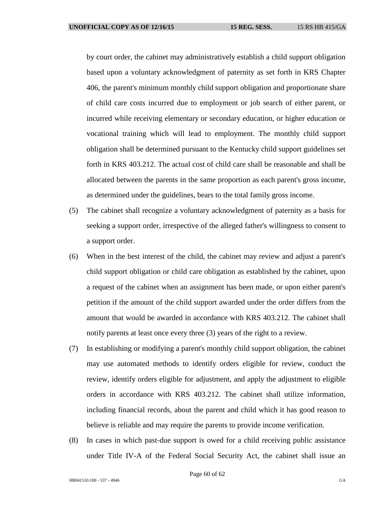by court order, the cabinet may administratively establish a child support obligation based upon a voluntary acknowledgment of paternity as set forth in KRS Chapter 406, the parent's minimum monthly child support obligation and proportionate share of child care costs incurred due to employment or job search of either parent, or incurred while receiving elementary or secondary education, or higher education or vocational training which will lead to employment. The monthly child support obligation shall be determined pursuant to the Kentucky child support guidelines set forth in KRS 403.212. The actual cost of child care shall be reasonable and shall be allocated between the parents in the same proportion as each parent's gross income, as determined under the guidelines, bears to the total family gross income.

- (5) The cabinet shall recognize a voluntary acknowledgment of paternity as a basis for seeking a support order, irrespective of the alleged father's willingness to consent to a support order.
- (6) When in the best interest of the child, the cabinet may review and adjust a parent's child support obligation or child care obligation as established by the cabinet, upon a request of the cabinet when an assignment has been made, or upon either parent's petition if the amount of the child support awarded under the order differs from the amount that would be awarded in accordance with KRS 403.212. The cabinet shall notify parents at least once every three (3) years of the right to a review.
- (7) In establishing or modifying a parent's monthly child support obligation, the cabinet may use automated methods to identify orders eligible for review, conduct the review, identify orders eligible for adjustment, and apply the adjustment to eligible orders in accordance with KRS 403.212. The cabinet shall utilize information, including financial records, about the parent and child which it has good reason to believe is reliable and may require the parents to provide income verification.
- (8) In cases in which past-due support is owed for a child receiving public assistance under Title IV-A of the Federal Social Security Act, the cabinet shall issue an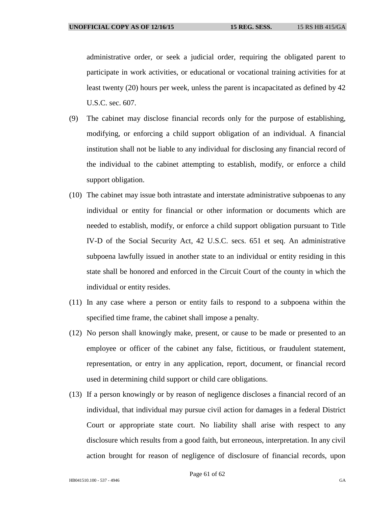administrative order, or seek a judicial order, requiring the obligated parent to participate in work activities, or educational or vocational training activities for at least twenty (20) hours per week, unless the parent is incapacitated as defined by 42 U.S.C. sec. 607.

- (9) The cabinet may disclose financial records only for the purpose of establishing, modifying, or enforcing a child support obligation of an individual. A financial institution shall not be liable to any individual for disclosing any financial record of the individual to the cabinet attempting to establish, modify, or enforce a child support obligation.
- (10) The cabinet may issue both intrastate and interstate administrative subpoenas to any individual or entity for financial or other information or documents which are needed to establish, modify, or enforce a child support obligation pursuant to Title IV-D of the Social Security Act, 42 U.S.C. secs. 651 et seq. An administrative subpoena lawfully issued in another state to an individual or entity residing in this state shall be honored and enforced in the Circuit Court of the county in which the individual or entity resides.
- (11) In any case where a person or entity fails to respond to a subpoena within the specified time frame, the cabinet shall impose a penalty.
- (12) No person shall knowingly make, present, or cause to be made or presented to an employee or officer of the cabinet any false, fictitious, or fraudulent statement, representation, or entry in any application, report, document, or financial record used in determining child support or child care obligations.
- (13) If a person knowingly or by reason of negligence discloses a financial record of an individual, that individual may pursue civil action for damages in a federal District Court or appropriate state court. No liability shall arise with respect to any disclosure which results from a good faith, but erroneous, interpretation. In any civil action brought for reason of negligence of disclosure of financial records, upon